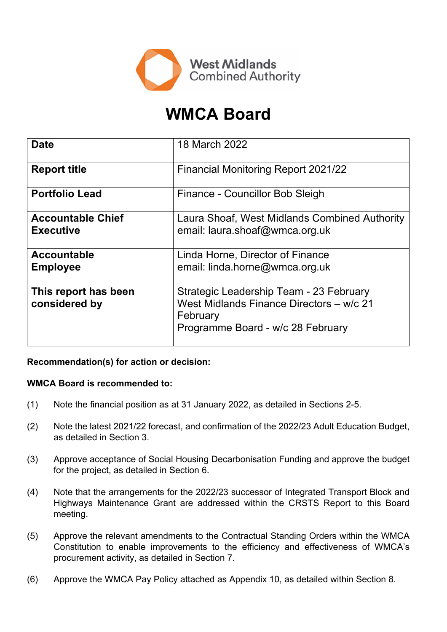

# **WMCA Board**

| <b>Date</b>                                  | 18 March 2022                                                                                                                        |
|----------------------------------------------|--------------------------------------------------------------------------------------------------------------------------------------|
| <b>Report title</b>                          | <b>Financial Monitoring Report 2021/22</b>                                                                                           |
| <b>Portfolio Lead</b>                        | Finance - Councillor Bob Sleigh                                                                                                      |
| <b>Accountable Chief</b><br><b>Executive</b> | Laura Shoaf, West Midlands Combined Authority<br>email: laura.shoaf@wmca.org.uk                                                      |
| <b>Accountable</b><br><b>Employee</b>        | Linda Horne, Director of Finance<br>email: linda.horne@wmca.org.uk                                                                   |
| This report has been<br>considered by        | Strategic Leadership Team - 23 February<br>West Midlands Finance Directors - w/c 21<br>February<br>Programme Board - w/c 28 February |

### **Recommendation(s) for action or decision:**

### **WMCA Board is recommended to:**

- (1) Note the financial position as at 31 January 2022, as detailed in Sections 2-5.
- (2) Note the latest 2021/22 forecast, and confirmation of the 2022/23 Adult Education Budget, as detailed in Section 3.
- (3) Approve acceptance of Social Housing Decarbonisation Funding and approve the budget for the project, as detailed in Section 6.
- (4) Note that the arrangements for the 2022/23 successor of Integrated Transport Block and Highways Maintenance Grant are addressed within the CRSTS Report to this Board meeting.
- (5) Approve the relevant amendments to the Contractual Standing Orders within the WMCA Constitution to enable improvements to the efficiency and effectiveness of WMCA's procurement activity, as detailed in Section 7.
- (6) Approve the WMCA Pay Policy attached as Appendix 10, as detailed within Section 8.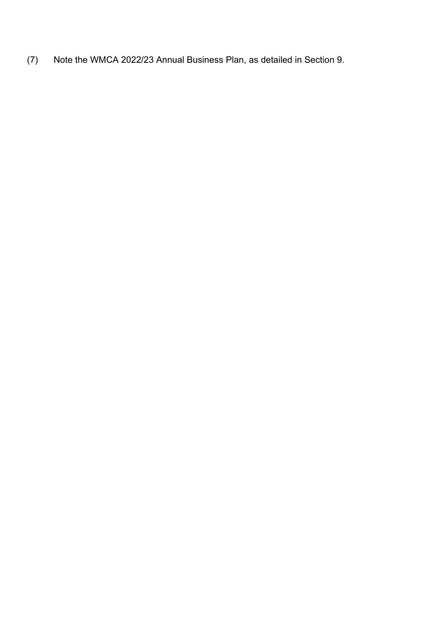(7) Note the WMCA 2022/23 Annual Business Plan, as detailed in Section 9.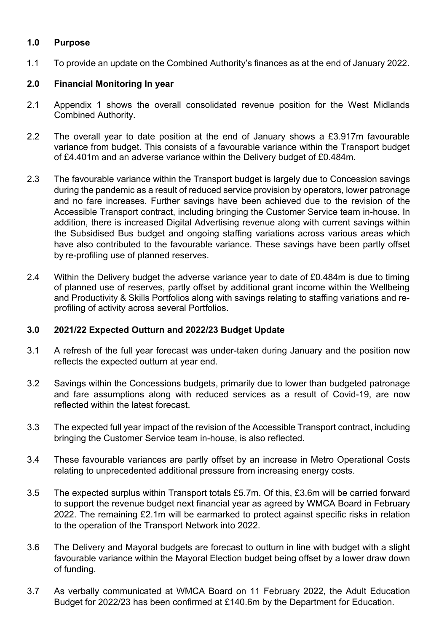### **1.0 Purpose**

1.1 To provide an update on the Combined Authority's finances as at the end of January 2022.

### **2.0 Financial Monitoring In year**

- 2.1 Appendix 1 shows the overall consolidated revenue position for the West Midlands Combined Authority.
- 2.2 The overall year to date position at the end of January shows a £3.917m favourable variance from budget. This consists of a favourable variance within the Transport budget of £4.401m and an adverse variance within the Delivery budget of £0.484m.
- 2.3 The favourable variance within the Transport budget is largely due to Concession savings during the pandemic as a result of reduced service provision by operators, lower patronage and no fare increases. Further savings have been achieved due to the revision of the Accessible Transport contract, including bringing the Customer Service team in-house. In addition, there is increased Digital Advertising revenue along with current savings within the Subsidised Bus budget and ongoing staffing variations across various areas which have also contributed to the favourable variance. These savings have been partly offset by re-profiling use of planned reserves.
- 2.4 Within the Delivery budget the adverse variance year to date of £0.484m is due to timing of planned use of reserves, partly offset by additional grant income within the Wellbeing and Productivity & Skills Portfolios along with savings relating to staffing variations and reprofiling of activity across several Portfolios.

### **3.0 2021/22 Expected Outturn and 2022/23 Budget Update**

- 3.1 A refresh of the full year forecast was under-taken during January and the position now reflects the expected outturn at year end.
- 3.2 Savings within the Concessions budgets, primarily due to lower than budgeted patronage and fare assumptions along with reduced services as a result of Covid-19, are now reflected within the latest forecast.
- 3.3 The expected full year impact of the revision of the Accessible Transport contract, including bringing the Customer Service team in-house, is also reflected.
- 3.4 These favourable variances are partly offset by an increase in Metro Operational Costs relating to unprecedented additional pressure from increasing energy costs.
- 3.5 The expected surplus within Transport totals £5.7m. Of this, £3.6m will be carried forward to support the revenue budget next financial year as agreed by WMCA Board in February 2022. The remaining £2.1m will be earmarked to protect against specific risks in relation to the operation of the Transport Network into 2022.
- 3.6 The Delivery and Mayoral budgets are forecast to outturn in line with budget with a slight favourable variance within the Mayoral Election budget being offset by a lower draw down of funding.
- 3.7 As verbally communicated at WMCA Board on 11 February 2022, the Adult Education Budget for 2022/23 has been confirmed at £140.6m by the Department for Education.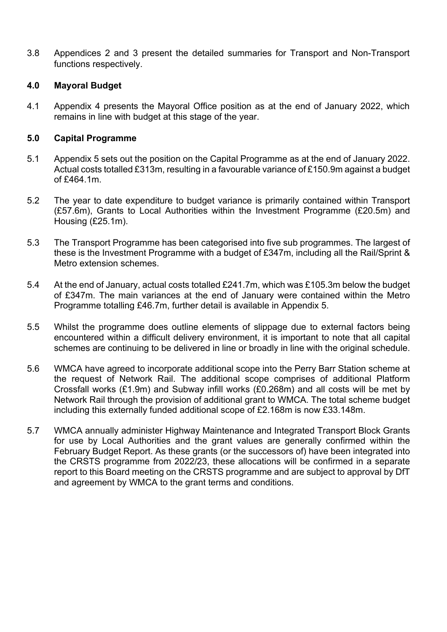3.8 Appendices 2 and 3 present the detailed summaries for Transport and Non-Transport functions respectively.

### **4.0 Mayoral Budget**

4.1 Appendix 4 presents the Mayoral Office position as at the end of January 2022, which remains in line with budget at this stage of the year.

### **5.0 Capital Programme**

- 5.1 Appendix 5 sets out the position on the Capital Programme as at the end of January 2022. Actual costs totalled £313m, resulting in a favourable variance of £150.9m against a budget of £464.1m.
- 5.2 The year to date expenditure to budget variance is primarily contained within Transport (£57.6m), Grants to Local Authorities within the Investment Programme (£20.5m) and Housing (£25.1m).
- 5.3 The Transport Programme has been categorised into five sub programmes. The largest of these is the Investment Programme with a budget of £347m, including all the Rail/Sprint & Metro extension schemes.
- 5.4 At the end of January, actual costs totalled £241.7m, which was £105.3m below the budget of £347m. The main variances at the end of January were contained within the Metro Programme totalling £46.7m, further detail is available in Appendix 5.
- 5.5 Whilst the programme does outline elements of slippage due to external factors being encountered within a difficult delivery environment, it is important to note that all capital schemes are continuing to be delivered in line or broadly in line with the original schedule.
- 5.6 WMCA have agreed to incorporate additional scope into the Perry Barr Station scheme at the request of Network Rail. The additional scope comprises of additional Platform Crossfall works (£1.9m) and Subway infill works (£0.268m) and all costs will be met by Network Rail through the provision of additional grant to WMCA. The total scheme budget including this externally funded additional scope of £2.168m is now £33.148m.
- 5.7 WMCA annually administer Highway Maintenance and Integrated Transport Block Grants for use by Local Authorities and the grant values are generally confirmed within the February Budget Report. As these grants (or the successors of) have been integrated into the CRSTS programme from 2022/23, these allocations will be confirmed in a separate report to this Board meeting on the CRSTS programme and are subject to approval by DfT and agreement by WMCA to the grant terms and conditions.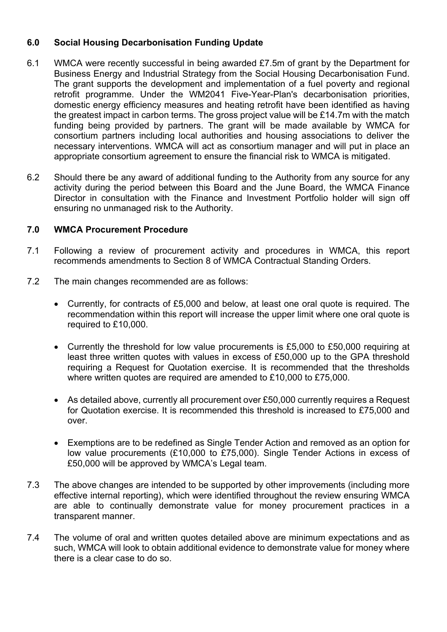### **6.0 Social Housing Decarbonisation Funding Update**

- 6.1 WMCA were recently successful in being awarded £7.5m of grant by the Department for Business Energy and Industrial Strategy from the Social Housing Decarbonisation Fund. The grant supports the development and implementation of a fuel poverty and regional retrofit programme. Under the WM2041 Five-Year-Plan's decarbonisation priorities, domestic energy efficiency measures and heating retrofit have been identified as having the greatest impact in carbon terms. The gross project value will be £14.7m with the match funding being provided by partners. The grant will be made available by WMCA for consortium partners including local authorities and housing associations to deliver the necessary interventions. WMCA will act as consortium manager and will put in place an appropriate consortium agreement to ensure the financial risk to WMCA is mitigated.
- 6.2 Should there be any award of additional funding to the Authority from any source for any activity during the period between this Board and the June Board, the WMCA Finance Director in consultation with the Finance and Investment Portfolio holder will sign off ensuring no unmanaged risk to the Authority.

### **7.0 WMCA Procurement Procedure**

- 7.1 Following a review of procurement activity and procedures in WMCA, this report recommends amendments to Section 8 of WMCA Contractual Standing Orders.
- 7.2 The main changes recommended are as follows:
	- Currently, for contracts of £5,000 and below, at least one oral quote is required. The recommendation within this report will increase the upper limit where one oral quote is required to £10,000.
	- Currently the threshold for low value procurements is £5,000 to £50,000 requiring at least three written quotes with values in excess of £50,000 up to the GPA threshold requiring a Request for Quotation exercise. It is recommended that the thresholds where written quotes are required are amended to £10,000 to £75,000.
	- As detailed above, currently all procurement over £50,000 currently requires a Request for Quotation exercise. It is recommended this threshold is increased to £75,000 and over.
	- Exemptions are to be redefined as Single Tender Action and removed as an option for low value procurements (£10,000 to £75,000). Single Tender Actions in excess of £50,000 will be approved by WMCA's Legal team.
- 7.3 The above changes are intended to be supported by other improvements (including more effective internal reporting), which were identified throughout the review ensuring WMCA are able to continually demonstrate value for money procurement practices in a transparent manner.
- 7.4 The volume of oral and written quotes detailed above are minimum expectations and as such, WMCA will look to obtain additional evidence to demonstrate value for money where there is a clear case to do so.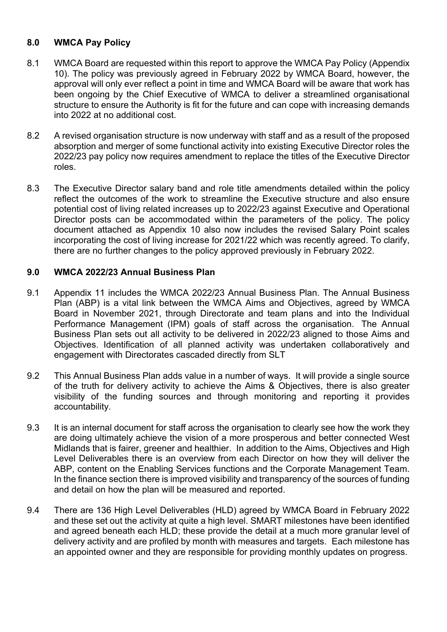### **8.0 WMCA Pay Policy**

- 8.1 WMCA Board are requested within this report to approve the WMCA Pay Policy (Appendix 10). The policy was previously agreed in February 2022 by WMCA Board, however, the approval will only ever reflect a point in time and WMCA Board will be aware that work has been ongoing by the Chief Executive of WMCA to deliver a streamlined organisational structure to ensure the Authority is fit for the future and can cope with increasing demands into 2022 at no additional cost.
- 8.2 A revised organisation structure is now underway with staff and as a result of the proposed absorption and merger of some functional activity into existing Executive Director roles the 2022/23 pay policy now requires amendment to replace the titles of the Executive Director roles.
- 8.3 The Executive Director salary band and role title amendments detailed within the policy reflect the outcomes of the work to streamline the Executive structure and also ensure potential cost of living related increases up to 2022/23 against Executive and Operational Director posts can be accommodated within the parameters of the policy. The policy document attached as Appendix 10 also now includes the revised Salary Point scales incorporating the cost of living increase for 2021/22 which was recently agreed. To clarify, there are no further changes to the policy approved previously in February 2022.

### **9.0 WMCA 2022/23 Annual Business Plan**

- 9.1 Appendix 11 includes the WMCA 2022/23 Annual Business Plan. The Annual Business Plan (ABP) is a vital link between the WMCA Aims and Objectives, agreed by WMCA Board in November 2021, through Directorate and team plans and into the Individual Performance Management (IPM) goals of staff across the organisation. The Annual Business Plan sets out all activity to be delivered in 2022/23 aligned to those Aims and Objectives. Identification of all planned activity was undertaken collaboratively and engagement with Directorates cascaded directly from SLT
- 9.2 This Annual Business Plan adds value in a number of ways. It will provide a single source of the truth for delivery activity to achieve the Aims & Objectives, there is also greater visibility of the funding sources and through monitoring and reporting it provides accountability.
- 9.3 It is an internal document for staff across the organisation to clearly see how the work they are doing ultimately achieve the vision of a more prosperous and better connected West Midlands that is fairer, greener and healthier. In addition to the Aims, Objectives and High Level Deliverables there is an overview from each Director on how they will deliver the ABP, content on the Enabling Services functions and the Corporate Management Team. In the finance section there is improved visibility and transparency of the sources of funding and detail on how the plan will be measured and reported.
- 9.4 There are 136 High Level Deliverables (HLD) agreed by WMCA Board in February 2022 and these set out the activity at quite a high level. SMART milestones have been identified and agreed beneath each HLD; these provide the detail at a much more granular level of delivery activity and are profiled by month with measures and targets. Each milestone has an appointed owner and they are responsible for providing monthly updates on progress.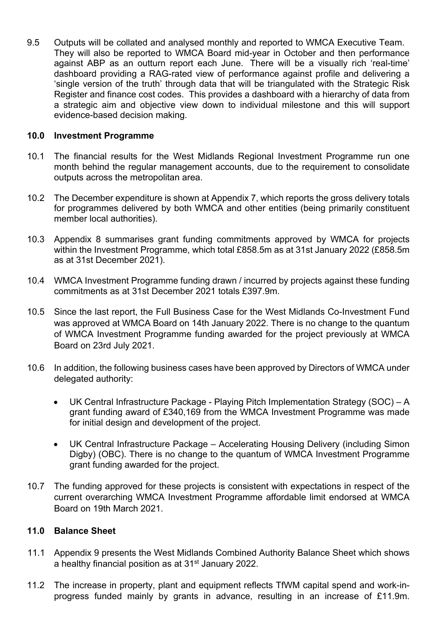9.5 Outputs will be collated and analysed monthly and reported to WMCA Executive Team. They will also be reported to WMCA Board mid-year in October and then performance against ABP as an outturn report each June. There will be a visually rich 'real-time' dashboard providing a RAG-rated view of performance against profile and delivering a 'single version of the truth' through data that will be triangulated with the Strategic Risk Register and finance cost codes. This provides a dashboard with a hierarchy of data from a strategic aim and objective view down to individual milestone and this will support evidence-based decision making.

### **10.0 Investment Programme**

- 10.1 The financial results for the West Midlands Regional Investment Programme run one month behind the regular management accounts, due to the requirement to consolidate outputs across the metropolitan area.
- 10.2 The December expenditure is shown at Appendix 7, which reports the gross delivery totals for programmes delivered by both WMCA and other entities (being primarily constituent member local authorities).
- 10.3 Appendix 8 summarises grant funding commitments approved by WMCA for projects within the Investment Programme, which total £858.5m as at 31st January 2022 (£858.5m as at 31st December 2021).
- 10.4 WMCA Investment Programme funding drawn / incurred by projects against these funding commitments as at 31st December 2021 totals £397.9m.
- 10.5 Since the last report, the Full Business Case for the West Midlands Co-Investment Fund was approved at WMCA Board on 14th January 2022. There is no change to the quantum of WMCA Investment Programme funding awarded for the project previously at WMCA Board on 23rd July 2021.
- 10.6 In addition, the following business cases have been approved by Directors of WMCA under delegated authority:
	- UK Central Infrastructure Package Playing Pitch Implementation Strategy (SOC) A grant funding award of £340,169 from the WMCA Investment Programme was made for initial design and development of the project.
	- UK Central Infrastructure Package Accelerating Housing Delivery (including Simon Digby) (OBC). There is no change to the quantum of WMCA Investment Programme grant funding awarded for the project.
- 10.7 The funding approved for these projects is consistent with expectations in respect of the current overarching WMCA Investment Programme affordable limit endorsed at WMCA Board on 19th March 2021.

### **11.0 Balance Sheet**

- 11.1 Appendix 9 presents the West Midlands Combined Authority Balance Sheet which shows a healthy financial position as at 31<sup>st</sup> January 2022.
- 11.2 The increase in property, plant and equipment reflects TfWM capital spend and work-inprogress funded mainly by grants in advance, resulting in an increase of £11.9m.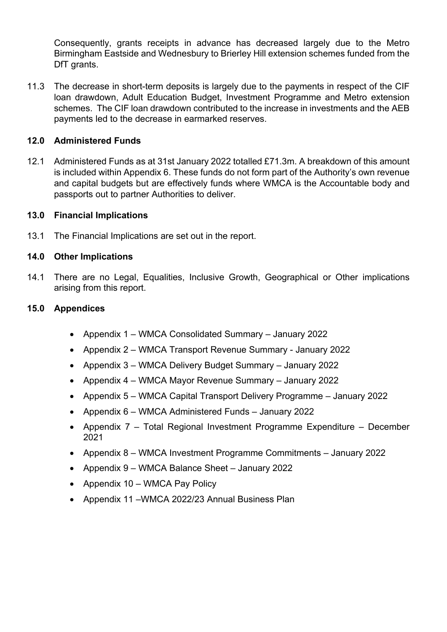Consequently, grants receipts in advance has decreased largely due to the Metro Birmingham Eastside and Wednesbury to Brierley Hill extension schemes funded from the DfT grants.

11.3 The decrease in short-term deposits is largely due to the payments in respect of the CIF loan drawdown, Adult Education Budget, Investment Programme and Metro extension schemes. The CIF loan drawdown contributed to the increase in investments and the AEB payments led to the decrease in earmarked reserves.

### **12.0 Administered Funds**

12.1 Administered Funds as at 31st January 2022 totalled £71.3m. A breakdown of this amount is included within Appendix 6. These funds do not form part of the Authority's own revenue and capital budgets but are effectively funds where WMCA is the Accountable body and passports out to partner Authorities to deliver.

### **13.0 Financial Implications**

13.1 The Financial Implications are set out in the report.

### **14.0 Other Implications**

14.1 There are no Legal, Equalities, Inclusive Growth, Geographical or Other implications arising from this report.

### **15.0 Appendices**

- Appendix 1 WMCA Consolidated Summary January 2022
- Appendix 2 WMCA Transport Revenue Summary January 2022
- Appendix 3 WMCA Delivery Budget Summary January 2022
- Appendix 4 WMCA Mayor Revenue Summary January 2022
- Appendix 5 WMCA Capital Transport Delivery Programme January 2022
- Appendix 6 WMCA Administered Funds January 2022
- Appendix 7 Total Regional Investment Programme Expenditure December 2021
- Appendix 8 WMCA Investment Programme Commitments January 2022
- Appendix 9 WMCA Balance Sheet January 2022
- Appendix 10 WMCA Pay Policy
- Appendix 11 WMCA 2022/23 Annual Business Plan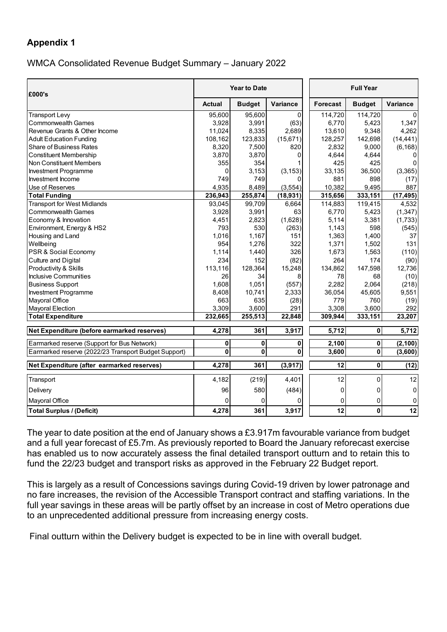### WMCA Consolidated Revenue Budget Summary – January 2022

| £000's                                               |               | <b>Year to Date</b> |                 | <b>Full Year</b> |               |             |  |
|------------------------------------------------------|---------------|---------------------|-----------------|------------------|---------------|-------------|--|
|                                                      | <b>Actual</b> | <b>Budget</b>       | <b>Variance</b> | <b>Forecast</b>  | <b>Budget</b> | Variance    |  |
| <b>Transport Levy</b>                                | 95.600        | 95,600              | $\Omega$        | 114,720          | 114,720       |             |  |
| <b>Commonwealth Games</b>                            | 3,928         | 3,991               | (63)            | 6,770            | 5,423         | 1,347       |  |
| Revenue Grants & Other Income                        | 11,024        | 8,335               | 2,689           | 13,610           | 9,348         | 4,262       |  |
| <b>Adult Education Funding</b>                       | 108,162       | 123,833             | (15,671)        | 128,257          | 142,698       | (14, 441)   |  |
| <b>Share of Business Rates</b>                       | 8,320         | 7,500               | 820             | 2,832            | 9,000         | (6, 168)    |  |
| <b>Constituent Membership</b>                        | 3,870         | 3,870               | 0               | 4,644            | 4,644         | 0           |  |
| Non Constituent Members                              | 355           | 354                 |                 | 425              | 425           | $\Omega$    |  |
| <b>Investment Programme</b>                          | 0             | 3,153               | (3, 153)        | 33,135           | 36,500        | (3,365)     |  |
| Investment Income                                    | 749           | 749                 |                 | 881              | 898           | (17)        |  |
| Use of Reserves                                      | 4,935         | 8,489               | (3, 554)        | 10.382           | 9,495         | 887         |  |
| <b>Total Funding</b>                                 | 236,943       | 255,874             | (18, 931)       | 315,656          | 333,151       | (17, 495)   |  |
| <b>Transport for West Midlands</b>                   | 93,045        | 99,709              | 6,664           | 114,883          | 119,415       | 4,532       |  |
| <b>Commonwealth Games</b>                            | 3,928         | 3,991               | 63              | 6,770            | 5,423         | (1, 347)    |  |
| Economy & Innovation                                 | 4,451         | 2,823               | (1,628)         | 5,114            | 3,381         | (1,733)     |  |
| Environment, Energy & HS2                            | 793           | 530                 | (263)           | 1,143            | 598           | (545)       |  |
| Housing and Land                                     | 1,016         | 1,167               | 151             | 1,363            | 1,400         | 37          |  |
| Wellbeing                                            | 954           | 1,276               | 322             | 1,371            | 1,502         | 131         |  |
| PSR & Social Economy                                 | 1,114         | 1,440               | 326             | 1,673            | 1,563         | (110)       |  |
| Culture and Digital                                  | 234           | 152                 | (82)            | 264              | 174           | (90)        |  |
| Productivity & Skills                                | 113,116       | 128,364             | 15,248          | 134,862          | 147,598       | 12,736      |  |
| <b>Inclusive Communities</b>                         | 26            | 34                  | 8               | 78               | 68            | (10)        |  |
| <b>Business Support</b>                              | 1,608         | 1.051               | (557)           | 2,282            | 2,064         | (218)       |  |
| Investment Programme                                 | 8,408         | 10,741              | 2,333           | 36,054           | 45,605        | 9,551       |  |
| Mayoral Office                                       | 663           | 635                 | (28)            | 779              | 760           | (19)        |  |
| Mayoral Election                                     | 3,309         | 3,600               | 291             | 3,308            | 3,600         | 292         |  |
| <b>Total Expenditure</b>                             | 232,665       | 255,513             | 22,848          | 309,944          | 333,151       | 23,207      |  |
| Net Expenditure (before earmarked reserves)          | 4,278         | 361                 | 3,917           | 5,712            | 0             | 5,712       |  |
| Earmarked reserve (Support for Bus Network)          | 0             | 0                   | 0               | 2,100            | $\mathbf 0$   | (2, 100)    |  |
| Earmarked reserve (2022/23 Transport Budget Support) | 0             | 0                   | 0               | 3,600            | $\pmb{0}$     | (3,600)     |  |
| Net Expenditure (after earmarked reserves)           | 4,278         | 361                 | (3,917)         | $\overline{12}$  | $\pmb{0}$     | (12)        |  |
| Transport                                            | 4,182         | (219)               | 4,401           | 12               | 0             | 12          |  |
| Delivery                                             | 96            | 580                 | (484)           | 0                | 0             | $\mathbf 0$ |  |
| Mayoral Office                                       | 0             | 0                   | ŋ               | 0                | 0             | 0           |  |
| <b>Total Surplus / (Deficit)</b>                     | 4,278         | 361                 | 3,917           | 12               | $\mathbf{0}$  | 12          |  |

The year to date position at the end of January shows a £3.917m favourable variance from budget and a full year forecast of £5.7m. As previously reported to Board the January reforecast exercise has enabled us to now accurately assess the final detailed transport outturn and to retain this to fund the 22/23 budget and transport risks as approved in the February 22 Budget report.

This is largely as a result of Concessions savings during Covid-19 driven by lower patronage and no fare increases, the revision of the Accessible Transport contract and staffing variations. In the full year savings in these areas will be partly offset by an increase in cost of Metro operations due to an unprecedented additional pressure from increasing energy costs.

Final outturn within the Delivery budget is expected to be in line with overall budget.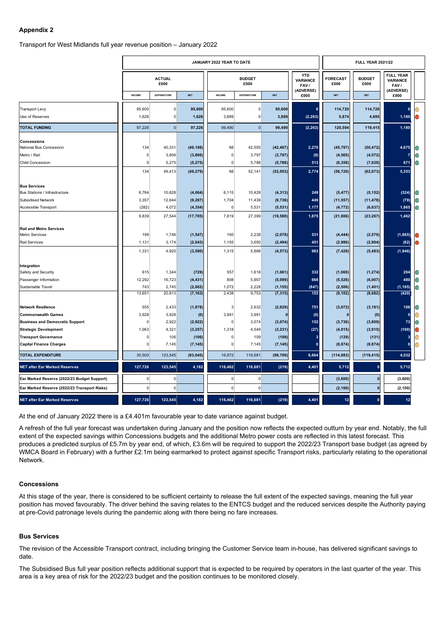### Transport for West Midlands full year revenue position – January 2022

|                                              |               |                       |            | JANUARY 2022 YEAR TO DATE |                       |            |                                       |                         | <b>FULL YEAR 2021/22</b> |                                             |  |
|----------------------------------------------|---------------|-----------------------|------------|---------------------------|-----------------------|------------|---------------------------------------|-------------------------|--------------------------|---------------------------------------------|--|
|                                              |               | <b>ACTUAL</b><br>£000 |            |                           | <b>BUDGET</b><br>£000 |            | <b>YTD</b><br><b>VARIANCE</b><br>FAV/ | <b>FORECAST</b><br>£000 | <b>BUDGET</b><br>£000    | <b>FULL YEAR</b><br><b>VARIANCE</b><br>FAV/ |  |
|                                              | <b>INCOME</b> | <b>EXPENDITURE</b>    | <b>NET</b> | <b>INCOME</b>             | <b>EXPENDITURE</b>    | <b>NET</b> | (ADVERSE)<br>£000                     | <b>NET</b>              | <b>NET</b>               | (ADVERSE)<br>£000                           |  |
| <b>Transport Levy</b>                        | 95,600        | 0                     | 95,600     | 95,600                    | $\mathbf 0$           | 95,600     | $\mathbf 0$                           | 114,720                 | 114,720                  | $\mathbf{0}$                                |  |
| Use of Reserves                              | 1,626         | $\overline{0}$        | 1,626      | 3,889                     | $\mathbf 0$           | 3,889      | (2, 263)                              | 5,874                   | 4,695                    | 1,180                                       |  |
| <b>TOTAL FUNDING</b>                         | 97,226        | $\overline{0}$        | 97,226     | 99,490                    | $\overline{0}$        | 99,490     | (2, 263)                              | 120,594                 | 119,415                  | 1,180                                       |  |
| <b>Concessions</b>                           |               |                       |            |                           |                       |            |                                       |                         |                          |                                             |  |
| National Bus Concession                      | 134           | 40,331                | (40, 198)  | 88                        | 42,555                | (42, 467)  | 2,270                                 | (45, 797)               | (50, 472)                | 4,675                                       |  |
| Metro / Rail                                 | $\Omega$      | 3,806                 | (3,806)    | 0                         | 3,797                 | (3,797)    | (9)                                   | (4, 565)                | (4, 572)                 |                                             |  |
| <b>Child Concession</b>                      | 0             | 5,275                 | (5, 275)   | 0                         | 5,788                 | (5,788)    | 513                                   | (6, 358)                | (7, 029)                 | 671                                         |  |
|                                              | 134           | 49,413                | (49, 279)  | 88                        | 52,141                | (52, 053)  | 2,774                                 | (56, 720)               | (62, 073)                | 5,353                                       |  |
| <b>Bus Services</b>                          |               |                       |            |                           |                       |            |                                       |                         |                          |                                             |  |
| Bus Stations / Infrastructure                | 6,764         | 10,828                | (4,064)    | 6,115                     | 10,428                | (4, 313)   | 249                                   | (5, 477)                | (5, 152)                 | (324)                                       |  |
| Subsidised Network                           | 3,357         | 12,644                | (9, 287)   | 1,704                     | 11,439                | (9,736)    | 449                                   | (11, 557)               | (11, 478)                | (79)                                        |  |
| Accessible Transport                         | (282)         | 4,072                 | (4, 354)   | 0                         | 5,531                 | (5, 531)   | 1,177                                 | (4, 772)                | (6, 637)                 | 1,865                                       |  |
|                                              | 9,839         | 27,544                | (17, 705)  | 7,819                     | 27,399                | (19, 580)  | 1,875                                 | (21, 806)               | (23, 267)                | 1,462                                       |  |
| <b>Rail and Metro Services</b>               |               |                       |            |                           |                       |            |                                       |                         |                          |                                             |  |
| <b>Metro Services</b>                        | 199           | 1,746                 | (1, 547)   | 160                       | 2,238                 | (2,078)    | 531                                   | (4, 444)                | (2, 579)                 | (1, 865)                                    |  |
| <b>Rail Services</b>                         | 1,131         | 3,174                 | (2,043)    | 1,155                     | 3,650                 | (2, 494)   | 451                                   | (2,986)                 | (2,904)                  | (82)                                        |  |
|                                              | 1,331         | 4,920                 | (3,590)    | 1,315                     | 5,888                 | (4, 573)   | 983                                   | (7, 429)                | (5, 483)                 | (1,946)                                     |  |
| Integration                                  |               |                       |            |                           |                       |            |                                       |                         |                          |                                             |  |
| Safety and Security                          | 615           | 1,344                 | (729)      | 557                       | 1,618                 | (1,061)    | 332                                   | (1,069)                 | (1, 274)                 | 204                                         |  |
| Passenger Information                        | 12,292        | 16,723                | (4, 431)   | 808                       | 5,907                 | (5,099)    | 668                                   | (5, 526)                | (6,007)                  | 480                                         |  |
| Sustainable Travel                           | 743           | 2,745                 | (2,002)    | 1,072                     | 2,228                 | (1, 155)   | (847)                                 | (2, 506)                | (1, 401)                 | (1, 105)                                    |  |
|                                              | 13,651        | 20,813                | (7, 163)   | 2,438                     | 9,753                 | (7, 315)   | 153                                   | (9, 102)                | (8,682)                  | (420)                                       |  |
| <b>Network Resilience</b>                    | 555           | 2,433                 | (1,878)    | 3                         | 2,632                 | (2,629)    | 751                                   | (3,072)                 | (3, 181)                 | 108                                         |  |
| <b>Commonwealth Games</b>                    | 3,928         | 3,928                 | (0)        | 3,991                     | 3,991                 | 0          | (0)                                   | n                       | (0)                      | $\mathbf{0}$                                |  |
| <b>Business and Democratic Support</b>       | 0             | 2,922                 | (2,922)    | $\mathbf 0$               | 3,074                 | (3,074)    | 152                                   | (3,736)                 | (3,809)                  | 73                                          |  |
| <b>Strategic Development</b>                 | 1,063         | 4,321                 | (3, 257)   | 1,318                     | 4,549                 | (3, 231)   | (27)                                  | (4, 015)                | (3, 915)                 | (100)                                       |  |
| <b>Transport Governance</b>                  | $\Omega$      | 106                   | (106)      | 0                         | 109                   | (109)      | 3                                     | (129)                   | (131)                    | 3 <sup>1</sup>                              |  |
| <b>Capital Finance Charges</b>               | 0             | 7,145                 | (7, 145)   | $\mathbf 0$               | 7,145                 | (7, 145)   | $\mathbf 0$                           | (8, 874)                | (8, 874)                 | 0                                           |  |
| <b>TOTAL EXPENDITURE</b>                     | 30,500        | 123,545               | (93, 045)  | 16,972                    | 116,681               | (99, 709)  | 6,664                                 | (114, 883)              | (119, 415)               | 4,532                                       |  |
| <b>NET after Ear Marked Reserves</b>         | 127,726       | 123,545               | 4,182      | 116,462                   | 116,681               | (219)      | 4,401                                 | 5,712                   | $\mathbf{0}$             | 5,712                                       |  |
| Ear Marked Reserve (2022/23 Budget Support)  | 0             | $\overline{0}$        |            | $\mathbf{0}$              | 0                     |            |                                       | (3,600)                 | 0                        | (3,600)                                     |  |
| Ear Marked Reserve (2022/23 Transport Risks) | 0             | $\pmb{0}$             |            | $\mathsf 0$               | 0                     |            |                                       | (2, 100)                | $\mathbf{0}$             | (2, 100)                                    |  |
| <b>NET after Ear Marked Reserves</b>         | 127,726       | 123,545               | 4,182      | 116,462                   | 116,681               | (219)      | 4,401                                 | 12                      |                          | 12                                          |  |

At the end of January 2022 there is a £4.401m favourable year to date variance against budget.

A refresh of the full year forecast was undertaken during January and the position now reflects the expected outturn by year end. Notably, the full extent of the expected savings within Concessions budgets and the additional Metro power costs are reflected in this latest forecast. This produces a predicted surplus of £5.7m by year end, of which, £3.6m will be required to support the 2022/23 Transport base budget (as agreed by WMCA Board in February) with a further £2.1m being earmarked to protect against specific Transport risks, particularly relating to the operational Network.

#### **Concessions**

At this stage of the year, there is considered to be sufficient certainty to release the full extent of the expected savings, meaning the full year position has moved favourably. The driver behind the saving relates to the ENTCS budget and the reduced services despite the Authority paying at pre-Covid patronage levels during the pandemic along with there being no fare increases.

### **Bus Services**

The revision of the Accessible Transport contract, including bringing the Customer Service team in-house, has delivered significant savings to date.

The Subsidised Bus full year position reflects additional support that is expected to be required by operators in the last quarter of the year. This area is a key area of risk for the 2022/23 budget and the position continues to be monitored closely.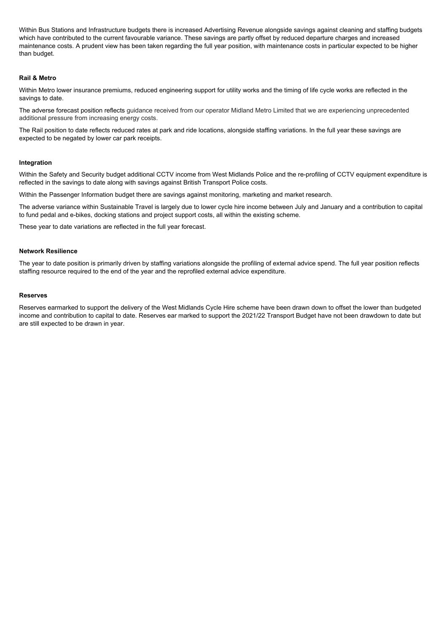Within Bus Stations and Infrastructure budgets there is increased Advertising Revenue alongside savings against cleaning and staffing budgets which have contributed to the current favourable variance. These savings are partly offset by reduced departure charges and increased maintenance costs. A prudent view has been taken regarding the full year position, with maintenance costs in particular expected to be higher than budget.

### **Rail & Metro**

Within Metro lower insurance premiums, reduced engineering support for utility works and the timing of life cycle works are reflected in the savings to date.

The adverse forecast position reflects guidance received from our operator Midland Metro Limited that we are experiencing unprecedented additional pressure from increasing energy costs.

The Rail position to date reflects reduced rates at park and ride locations, alongside staffing variations. In the full year these savings are expected to be negated by lower car park receipts.

### **Integration**

Within the Safety and Security budget additional CCTV income from West Midlands Police and the re-profiling of CCTV equipment expenditure is reflected in the savings to date along with savings against British Transport Police costs.

Within the Passenger Information budget there are savings against monitoring, marketing and market research.

The adverse variance within Sustainable Travel is largely due to lower cycle hire income between July and January and a contribution to capital to fund pedal and e-bikes, docking stations and project support costs, all within the existing scheme.

These year to date variations are reflected in the full year forecast.

### **Network Resilience**

The year to date position is primarily driven by staffing variations alongside the profiling of external advice spend. The full year position reflects staffing resource required to the end of the year and the reprofiled external advice expenditure.

### **Reserves**

Reserves earmarked to support the delivery of the West Midlands Cycle Hire scheme have been drawn down to offset the lower than budgeted income and contribution to capital to date. Reserves ear marked to support the 2021/22 Transport Budget have not been drawdown to date but are still expected to be drawn in year.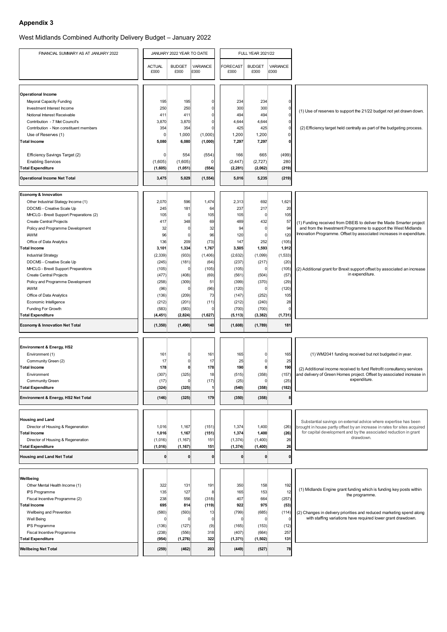West Midlands Combined Authority Delivery Budget – January 2022

| FINANCIAL SUMMARY AS AT JANUARY 2022                               |                       | JANUARY 2022 YEAR TO DATE |                         | <b>FULL YEAR 2021/22</b> |                       |                  |                                                                                                                                               |  |  |
|--------------------------------------------------------------------|-----------------------|---------------------------|-------------------------|--------------------------|-----------------------|------------------|-----------------------------------------------------------------------------------------------------------------------------------------------|--|--|
|                                                                    | <b>ACTUAL</b><br>£000 | <b>BUDGET</b><br>£000     | <b>VARIANCE</b><br>£000 | FORECAST<br>£000         | <b>BUDGET</b><br>£000 | VARIANCE<br>£000 |                                                                                                                                               |  |  |
|                                                                    |                       |                           |                         |                          |                       |                  |                                                                                                                                               |  |  |
| <b>Operational Income</b>                                          |                       |                           |                         |                          |                       |                  |                                                                                                                                               |  |  |
| <b>Mayoral Capacity Funding</b>                                    | 195                   | 195                       | $\Omega$<br>$\Omega$    | 234                      | 234                   |                  |                                                                                                                                               |  |  |
| Investment Interest Income<br>Notional Interest Receivable         | 250<br>411            | 250<br>411                | $\Omega$                | 300<br>494               | 300<br>494            |                  | (1) Use of reserves to support the 21/22 budget not yet drawn down.                                                                           |  |  |
| Contribution - 7 Met Council's                                     | 3,870                 | 3,870                     | $\Omega$                | 4,644                    | 4,644                 | 0                |                                                                                                                                               |  |  |
| Contribution - Non constituent members                             | 354                   | 354                       | $\Omega$                | 425                      | 425                   | $\Omega$         | (2) Efficiency target held centrally as part of the budgeting process.                                                                        |  |  |
| Use of Reserves (1)                                                | 0                     | 1,000                     | (1,000)                 | 1,200                    | 1,200                 | 0                |                                                                                                                                               |  |  |
| Total Income                                                       | 5,080                 | 6,080                     | (1,000)                 | 7,297                    | 7,297                 |                  |                                                                                                                                               |  |  |
|                                                                    |                       |                           |                         |                          |                       |                  |                                                                                                                                               |  |  |
| Efficiency Savings Target (2)                                      | $\overline{0}$        | 554                       | (554)                   | 166                      | 665                   | (499)            |                                                                                                                                               |  |  |
| <b>Enabling Services</b><br><b>Total Expenditure</b>               | (1,605)<br>(1,605)    | (1,605)<br>(1,051)        | $\mathbf{0}$<br>(554)   | (2, 447)<br>(2, 281)     | (2,727)<br>(2,062)    | 280<br>(219)     |                                                                                                                                               |  |  |
| <b>Operational Income Net Total</b>                                | 3,475                 | 5,029                     | (1, 554)                | 5,016                    | 5,235                 | (219)            |                                                                                                                                               |  |  |
|                                                                    |                       |                           |                         |                          |                       |                  |                                                                                                                                               |  |  |
| Economy & Innovation                                               |                       |                           |                         |                          |                       |                  |                                                                                                                                               |  |  |
| Other Industrial Stategy Income (1)                                | 2,070                 | 596                       | 1,474                   | 2,313                    | 692                   | 1,621            |                                                                                                                                               |  |  |
| DDCMS - Creative Scale Up                                          | 245                   | 181                       | 64                      | 237                      | 217                   | 20               |                                                                                                                                               |  |  |
| MHCLG - Brexit Support Preparations (2)                            | 105                   | $\Omega$                  | 105                     | 105                      | $\mathbf{0}$          | 105              |                                                                                                                                               |  |  |
| <b>Create Central Projects</b><br>Policy and Programme Development | 417<br>32             | 348<br>0                  | 69<br>32                | 489<br>94                | 432<br>$\mathbf{0}$   | 57<br>94         | (1) Funding received from DBEIS to deliver the Made Smarter project<br>and from the Investment Programme to support the West Midlands         |  |  |
| <b>IAWM</b>                                                        | 96                    | $\Omega$                  | 96                      | 120                      | $\mathbf{0}$          | 120              | Innovation Programme. Offset by associated increases in expenditure.                                                                          |  |  |
| Office of Data Analytics                                           | 136                   | 209                       | (73)                    | 147                      | 252                   | (105)            |                                                                                                                                               |  |  |
| Total Income                                                       | 3,101                 | 1,334                     | 1,767                   | 3,505                    | 1,593                 | 1,912            |                                                                                                                                               |  |  |
| <b>Industrial Strategy</b>                                         | (2, 339)              | (933)                     | (1,406)                 | (2,632)                  | (1,099)               | (1, 533)         |                                                                                                                                               |  |  |
| DDCMS - Creative Scale Up                                          | (245)                 | (181)                     | (64)                    | (237)                    | (217)                 | (20)             |                                                                                                                                               |  |  |
| MHCLG - Brexit Support Preparations                                | (105)                 | $\Omega$                  | (105)                   | (105)                    | 0                     | (105)            | (2) Additional grant for Brexit support offset by associated an increase                                                                      |  |  |
| <b>Create Central Projects</b>                                     | (477)                 | (408)                     | (69)                    | (561)                    | (504)                 | (57)             | in expenditure.                                                                                                                               |  |  |
| Policy and Programme Development                                   | (258)                 | (309)                     | 51                      | (399)                    | (370)                 | (29)             |                                                                                                                                               |  |  |
| <b>IAWM</b>                                                        | (96)                  | $\Omega$                  | (96)                    | (120)                    | $\mathbf{0}$          | (120)            |                                                                                                                                               |  |  |
| Office of Data Analytics                                           | (136)                 | (209)                     | 73                      | (147)                    | (252)                 | 105              |                                                                                                                                               |  |  |
| Economic Intelligence<br>Funding For Growth                        | (212)<br>(583)        | (201)<br>(583)            | (11)<br>$\Omega$        | (212)<br>(700)           | (240)<br>(700)        | 28               |                                                                                                                                               |  |  |
| <b>Total Expenditure</b>                                           | (4, 451)              | (2,824)                   | (1,627)                 | (5, 113)                 | (3, 382)              | (1,731)          |                                                                                                                                               |  |  |
| Economy & Innovation Net Total                                     | (1, 350)              | (1,490)                   | 140                     | (1,608)                  | (1,789)               | 181              |                                                                                                                                               |  |  |
|                                                                    |                       |                           |                         |                          |                       |                  |                                                                                                                                               |  |  |
| <b>Environment &amp; Energy, HS2</b>                               |                       |                           |                         |                          |                       |                  |                                                                                                                                               |  |  |
| Environment (1)                                                    | 161                   |                           | 161                     | 165                      |                       | 165              | (1) WM2041 funding received but not budgeted in year.                                                                                         |  |  |
| Community Green (2)                                                | 17                    |                           | 17                      | 25                       | $\Omega$              | 25               |                                                                                                                                               |  |  |
| Total Income                                                       | 178                   | ŋ                         | 178                     | 190                      | $\mathbf{0}$          | 190              | (2) Additional income received to fund Retrofit consultancy services                                                                          |  |  |
| Environment                                                        | (307)                 | (325)                     | 18                      | (515)                    | (358)                 | (157)            | and delivery of Green Homes project. Offset by associated increase in                                                                         |  |  |
| <b>Community Green</b>                                             | (17)                  | 0                         | (17)                    | (25)                     | $\mathbf{0}$          | (25)             | expenditure.                                                                                                                                  |  |  |
| <b>Total Expenditure</b>                                           | (324)                 | (325)                     | 1                       | (540)                    | (358)                 | (182)            |                                                                                                                                               |  |  |
| Environment & Energy, HS2 Net Total                                | (146)                 | (325)                     | 179                     | (350)                    | (358)                 |                  |                                                                                                                                               |  |  |
|                                                                    |                       |                           |                         |                          |                       |                  |                                                                                                                                               |  |  |
| <b>Housing and Land</b>                                            |                       |                           |                         |                          |                       |                  | Substantial savings on external advice where expertise has been                                                                               |  |  |
| Director of Housing & Regeneration                                 | 1,016                 | 1,167                     | (151)                   | 1,374                    | 1,400                 | (26)             | brought in house partly offset by an increase in rates for sites acquired<br>for capital development and by the associated reduction in grant |  |  |
| Total Income<br>Director of Housing & Regeneration                 | 1,016<br>(1,016)      | 1,167<br>(1, 167)         | (151)<br>151            | 1,374<br>(1, 374)        | 1,400<br>(1,400)      | (26)<br>26       | drawdown.                                                                                                                                     |  |  |
| <b>Total Expenditure</b>                                           | (1,016)               | (1, 167)                  | 151                     | (1, 374)                 | (1,400)               | 26               |                                                                                                                                               |  |  |
| <b>Housing and Land Net Total</b>                                  | n                     | O                         | $\bf{0}$                |                          | $\bf{0}$              |                  |                                                                                                                                               |  |  |
|                                                                    |                       |                           |                         |                          |                       |                  |                                                                                                                                               |  |  |
| Wellbeing                                                          |                       |                           |                         |                          |                       |                  |                                                                                                                                               |  |  |
| Other Mental Health Income (1)                                     | 322                   | 131                       | 191                     | 350                      | 158                   | 192              |                                                                                                                                               |  |  |
| <b>IPS Programme</b>                                               | 135                   | 127                       | 8                       | 165                      | 153                   | 12               | (1) Midlands Engine grant funding which is funding key posts within<br>the programme.                                                         |  |  |
| Fiscal Incentive Programme (2)                                     | 238                   | 556                       | (318)                   | 407                      | 664                   | (257)            |                                                                                                                                               |  |  |
| <b>Total Income</b>                                                | 695                   | 814                       | (119)                   | 922                      | 975                   | (53)             |                                                                                                                                               |  |  |
| Wellbeing and Prevention                                           | (580)                 | (593)                     | 13                      | (799)                    | (685)                 | (114)            | (2) Changes in delivery priorities and reduced marketing spend along                                                                          |  |  |
| Well Being                                                         |                       | n                         | $\Omega$                |                          | n                     | $\Omega$         | with staffing variations have required lower grant drawdown.                                                                                  |  |  |
| <b>IPS Programme</b>                                               | (136)                 | (127)                     | (9)                     | (165)                    | (153)                 | (12)             |                                                                                                                                               |  |  |
| Fiscal Incentive Programme<br><b>Total Expenditure</b>             | (238)<br>(954)        | (556)<br>(1, 276)         | 318<br>322              | (407)<br>(1, 371)        | (664)<br>(1, 502)     | 257<br>$131$     |                                                                                                                                               |  |  |
|                                                                    |                       |                           |                         |                          |                       |                  |                                                                                                                                               |  |  |
| <b>Wellbeing Net Total</b>                                         | (259)                 | (462)                     | 203                     | (449)                    | (527)                 | 78               |                                                                                                                                               |  |  |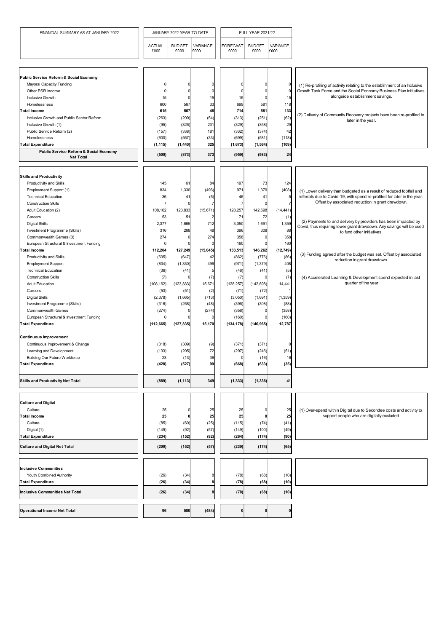| FINANCIAL SUMMARY AS AT JANUARY 2022                                          |                       | JANUARY 2022 YEAR TO DATE |                  |                         | <b>FULL YEAR 2021/22</b> |                  |                                                                                            |
|-------------------------------------------------------------------------------|-----------------------|---------------------------|------------------|-------------------------|--------------------------|------------------|--------------------------------------------------------------------------------------------|
|                                                                               | <b>ACTUAL</b><br>£000 | <b>BUDGET</b><br>£000     | VARIANCE<br>£000 | <b>FORECAST</b><br>£000 | <b>BUDGET</b><br>£000    | VARIANCE<br>£000 |                                                                                            |
| Public Service Reform & Social Economy                                        |                       |                           |                  |                         |                          |                  |                                                                                            |
| <b>Mayoral Capacity Funding</b>                                               | 0                     | <sup>0</sup>              |                  | $\mathbf 0$             | <sup>0</sup>             |                  | (1) Re-profiling of activity relating to the establihment of an Inclusive                  |
| Other PSR Income                                                              | $\Omega$              | $\Omega$                  | ŋ                | $\mathbf 0$             | $\Omega$                 |                  | Growth Task Force and the Social Economy Business Plan initiatives                         |
| <b>Inclusive Growth</b>                                                       | 15                    | $\mathbf{0}$              | 15               | 15                      | $\Omega$                 | 15               | alongside establishment savings.                                                           |
| Homelessness                                                                  | 600                   | 567                       | 33               | 699                     | 581                      | 118              |                                                                                            |
| <b>Total Income</b>                                                           | 615                   | 567                       | 48               | 714                     | 581                      | 133              |                                                                                            |
| Inclusive Growth and Public Sector Reform                                     | (263)                 | (209)                     | (54)             | (313)                   | (251)                    | (62)             | (2) Delivery of Community Recovery projects have been re-profiled to<br>later in the year. |
| Inclusive Growth (1)                                                          | (95)                  | (326)                     | 231              | (329)                   | (358)                    | 29               |                                                                                            |
| Public Service Reform (2)                                                     | (157)                 | (338)                     | 181              | (332)                   | (374)                    | 42               |                                                                                            |
| Homelessness                                                                  | (600)                 | (567)                     | (33)             | (699)                   | (581)                    | (118)            |                                                                                            |
| <b>Total Expenditure</b><br><b>Public Service Reform &amp; Social Economy</b> | (1, 115)              | (1,440)                   | 325              | (1,673)                 | (1, 564)                 | (109)            |                                                                                            |
| <b>Net Total</b>                                                              | (500)                 | (873)                     | 373              | (959)                   | (983)                    | 24               |                                                                                            |
| <b>Skills and Productivity</b>                                                |                       |                           |                  |                         |                          |                  |                                                                                            |
| Productivity and Skills                                                       | 145                   | 61                        | 84               | 197                     | 73                       | 124              |                                                                                            |
| Employment Support (1)                                                        | 834                   | 1,330                     | (496)            | 971                     | 1,379                    | (408)            | (1) Lower delivery than budgeted as a result of reduced footfall and                       |
| <b>Technical Education</b>                                                    | 36                    | 41                        | (5)              | 46                      | 41                       | 5                | referrals due to Covid-19, with spend re-profiled for later in the year.                   |
| <b>Construction Skills</b>                                                    | $\overline{7}$        | $\Omega$                  |                  | $\overline{7}$          | 0                        |                  | Offset by associated reduction in grant drawdown.                                          |
| Adult Education (2)                                                           | 108,162               | 123,833                   | (15, 671)        | 128,257                 | 142,698                  | (14, 441)        |                                                                                            |
| Careers                                                                       | 53                    | 51                        |                  | 71                      | 72                       | (1)              | (2) Payments to and delivery by providers has been impacted by                             |
| <b>Digital Skills</b>                                                         | 2,377                 | 1,665                     | 712              | 3,050                   | 1,691                    | 1,359            | Covid, thus requiring lower grant drawdown. Any savings will be used                       |
| Investment Programme (Skills)                                                 | 316                   | 268                       | 48               | 396                     | 308                      | 88               | to fund other initiatives.                                                                 |
| Commonwealth Games (3)                                                        | 274                   | 0                         | 274              | 358                     | <sup>0</sup>             | 358              |                                                                                            |
| European Structural & Investment Funding<br><b>Total Income</b>               | 0<br>112,204          | $\Omega$<br>127,249       | (15, 045)        | 160<br>133,513          | 0<br>146,262             | 160<br>(12, 749) |                                                                                            |
| <b>Productivity and Skills</b>                                                | (605)                 | (647)                     | 42               | (862)                   | (776)                    | (86)             | (3) Funding agreed after the budget was set. Offset by associated                          |
| Employment Support                                                            | (834)                 | (1, 330)                  | 496              | (971)                   | (1, 379)                 | 408              | reduction in grant drawdown.                                                               |
| <b>Technical Education</b>                                                    | (36)                  | (41)                      |                  | (46)                    | (41)                     | (5)              |                                                                                            |
| <b>Construction Skills</b>                                                    | (7)                   | $\Omega$                  | (7)              | (7)                     | $\Omega$                 | (7)              | (4) Accelerated Learning & Development spend expected in last                              |
| <b>Adult Education</b>                                                        | (108, 162)            | (123, 833)                | 15,671           | (128, 257)              | (142, 698)               | 14,441           | quarter of the year                                                                        |
| Careers                                                                       | (53)                  | (51)                      | (2)              | (71)                    | (72)                     |                  |                                                                                            |
| <b>Digital Skills</b>                                                         | (2,378)               | (1,665)                   | (713)            | (3,050)                 | (1,691)                  | (1, 359)         |                                                                                            |
| Investment Programme (Skills)                                                 | (316)                 | (268)                     | (48)             | (396)                   | (308)                    | (88)             |                                                                                            |
| <b>Commonwealth Games</b>                                                     | (274)                 |                           | (274)            | (358)                   | ŋ                        | (358)            |                                                                                            |
| European Structural & Investment Funding                                      |                       |                           |                  | (160)                   |                          | (160)            |                                                                                            |
| <b>Total Expenditure</b>                                                      | (112, 665)            | (127, 835)                | 15,170           | (134, 178)              | (146, 965)               | 12,787           |                                                                                            |
| <b>Continuous Improvement</b>                                                 |                       |                           |                  |                         |                          |                  |                                                                                            |
| Continuous Improvement & Change                                               | (318)                 | (309)                     | (9)              | (371)                   | (371)                    |                  |                                                                                            |
| Learning and Development                                                      | (133)                 | (205)                     | 72               | (297)                   | (246)                    | (51)             |                                                                                            |
| <b>Building Our Future Workforce</b>                                          | 23                    | (13)                      | 36               | $\Omega$                | (16)                     | 16               |                                                                                            |
| <b>Total Expenditure</b>                                                      | (428)                 | (527)                     | 99               | (668)                   | (633)                    | (35)             |                                                                                            |
| <b>Skills and Productivity Net Total</b>                                      | (889)                 | (1, 113)                  | 349              | (1, 333)                | (1, 336)                 | 41               |                                                                                            |
|                                                                               |                       |                           |                  |                         |                          |                  |                                                                                            |
| <b>Culture and Digital</b><br>Culture                                         | 25                    | 0                         | 25               | 25                      | 0                        | 25               | (1) Over-spend within Digital due to Secondee costs and activity to                        |
| <b>Total Income</b>                                                           | 25                    | 0                         | 25               | 25                      | 0                        | 25               | support people who are digitally excluded.                                                 |
| Culture                                                                       | (85)                  | (60)                      | (25)             | (115)                   | (74)                     | (41)             |                                                                                            |
| Digital (1)                                                                   | (149)                 | (92)                      | (57)             | (149)                   | (100)                    | (49)             |                                                                                            |
| <b>Total Expenditure</b>                                                      | (234)                 | (152)                     | (82)             | (264)                   | (174)                    | (90)             |                                                                                            |
| <b>Culture and Digital Net Total</b>                                          | (209)                 | (152)                     | (57)             | (239)                   | (174)                    | (65)             |                                                                                            |
|                                                                               |                       |                           |                  |                         |                          |                  |                                                                                            |
| <b>Inclusive Communities</b>                                                  |                       |                           |                  |                         |                          |                  |                                                                                            |
| Youth Combined Authority                                                      | (26)                  | (34)                      |                  | (78)                    | (68)                     | (10)             |                                                                                            |
| <b>Total Expenditure</b>                                                      | (26)                  | (34)                      |                  | (78)                    | (68)                     | (10)             |                                                                                            |
| <b>Inclusive Communities Net Total</b>                                        | (26)                  | (34)                      |                  | (78)                    | (68)                     | (10)             |                                                                                            |
| <b>Operational Income Net Total</b>                                           | 96                    | 580                       | (484)            | $\mathbf{0}$            | 0                        |                  |                                                                                            |
|                                                                               |                       |                           |                  |                         |                          |                  |                                                                                            |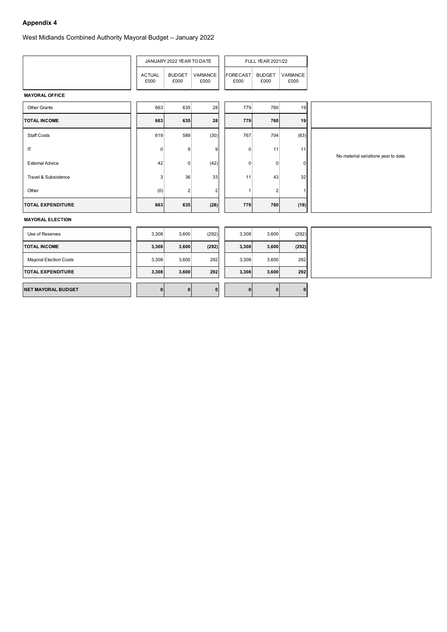West Midlands Combined Authority Mayoral Budget – January 2022

|                               |                       | JANUARY 2022 YEAR TO DATE |                  |                  | <b>FULL YEAR 2021/22</b> |                  |                                      |
|-------------------------------|-----------------------|---------------------------|------------------|------------------|--------------------------|------------------|--------------------------------------|
|                               | <b>ACTUAL</b><br>£000 | <b>BUDGET</b><br>£000     | VARIANCE<br>£000 | FORECAST<br>£000 | <b>BUDGET</b><br>£000    | VARIANCE<br>£000 |                                      |
| <b>MAYORAL OFFICE</b>         |                       |                           |                  |                  |                          |                  |                                      |
| <b>Other Grants</b>           | 663                   | 635                       | 28               | 779              | 760                      | 19               |                                      |
| <b>TOTAL INCOME</b>           | 663                   | 635                       | 28               | 779              | 760                      | 19               |                                      |
| <b>Staff Costs</b>            | 619                   | 589                       | (30)             | 767              | 704                      | (63)             |                                      |
| $\boldsymbol{\Pi}$            | 0                     | 9                         | 9                | $\overline{0}$   | 11                       | 11               | No material variations year to date. |
| <b>External Advice</b>        | 42                    | 0                         | (42)             | $\overline{0}$   | $\overline{0}$           | $\overline{0}$   |                                      |
| Travel & Subsistence          | $\sqrt{3}$            | 36                        | 33               | 11               | 43                       | 32               |                                      |
| Other                         | (0)                   | $\vert$ 2                 | $\overline{c}$   | $\vert$ 1        | $\mathbf{2}$             | $\mathbf{1}$     |                                      |
| <b>TOTAL EXPENDITURE</b>      | 663                   | 635                       | (28)             | 779              | 760                      | (19)             |                                      |
| <b>MAYORAL ELECTION</b>       |                       |                           |                  |                  |                          |                  |                                      |
| Use of Reserves               | 3,308                 | 3,600                     | (292)            | 3,308            | 3,600                    | (292)            |                                      |
| <b>TOTAL INCOME</b>           | 3,308                 | 3,600                     | (292)            | 3,308            | 3,600                    | (292)            |                                      |
| <b>Mayoral Election Costs</b> | 3,308                 | 3,600                     | 292              | 3,308            | 3,600                    | 292              |                                      |
| <b>TOTAL EXPENDITURE</b>      | 3,308                 | 3,600                     | 292              | 3,308            | 3,600                    | 292              |                                      |
| <b>NET MAYORAL BUDGET</b>     | 0                     | 0                         | $\mathbf{0}$     | 0                | $\mathbf{0}$             | $\mathbf{0}$     |                                      |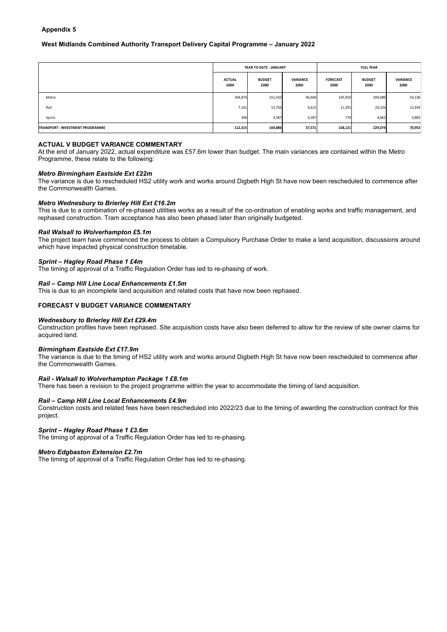### **West Midlands Combined Authority Transport Delivery Capital Programme – January 2022**

|                                         |                       | YEAR TO DATE - JANUARY |                         | <b>FULL YEAR</b>        |                       |                  |  |
|-----------------------------------------|-----------------------|------------------------|-------------------------|-------------------------|-----------------------|------------------|--|
|                                         | <b>ACTUAL</b><br>£000 | <b>BUDGET</b><br>£000  | <b>VARIANCE</b><br>£000 | <b>FORECAST</b><br>£000 | <b>BUDGET</b><br>£000 | VARIANCE<br>£000 |  |
| Metro                                   | 104,874               | 151,543                | 46,669                  | 145,950                 | 200,086               | 54,136           |  |
| Rail                                    | 7,141                 | 13,756                 | 6,615                   | 11,392                  | 24,326                | 12,934           |  |
| Sprint                                  | 300                   | 4,587                  | 4,287                   | 779                     | 4,662                 | 3,883            |  |
| <b>TRANSPORT - INVESTMENT PROGRAMME</b> | 112,315               | 169,886                | 57,571                  | 158,121                 | 229,074               | 70,953           |  |

### **ACTUAL V BUDGET VARIANCE COMMENTARY**

At the end of January 2022, actual expenditure was £57.6m lower than budget. The main variances are contained within the Metro Programme, these relate to the following:

### *Metro Birmingham Eastside Ext £22m*

The variance is due to rescheduled HS2 utility work and works around Digbeth High St have now been rescheduled to commence after the Commonwealth Games.

### *Metro Wednesbury to Brierley Hill Ext £16.2m*

This is due to a combination of re-phased utilities works as a result of the co-ordination of enabling works and traffic management, and rephased construction. Tram acceptance has also been phased later than originally budgeted.

### *Rail Walsall to Wolverhampton £5.1m*

The project team have commenced the process to obtain a Compulsory Purchase Order to make a land acquisition, discussions around which have impacted physical construction timetable.

#### *Sprint – Hagley Road Phase 1 £4m*

The timing of approval of a Traffic Regulation Order has led to re-phasing of work.

### *Rail – Camp Hill Line Local Enhancements £1.5m*

This is due to an incomplete land acquisition and related costs that have now been rephased.

### **FORECAST V BUDGET VARIANCE COMMENTARY**

### *Wednesbury to Brierley Hill Ext £29.4m*

Construction profiles have been rephased. Site acquisition costs have also been deferred to allow for the review of site owner claims for acquired land.

### *Birmingham Eastside Ext £17.9m*

The variance is due to the timing of HS2 utility work and works around Digbeth High St have now been rescheduled to commence after the Commonwealth Games.

#### *Rail - Walsall to Wolverhampton Package 1 £8.1m*

There has been a revision to the project programme within the year to accommodate the timing of land acquisition.

#### *Rail – Camp Hill Line Local Enhancements £4.9m*

Construction costs and related fees have been rescheduled into 2022/23 due to the timing of awarding the construction contract for this project.

#### *Sprint – Hagley Road Phase 1 £3.6m*

The timing of approval of a Traffic Regulation Order has led to re-phasing.

### *Metro Edgbaston Extension £2.7m*

The timing of approval of a Traffic Regulation Order has led to re-phasing.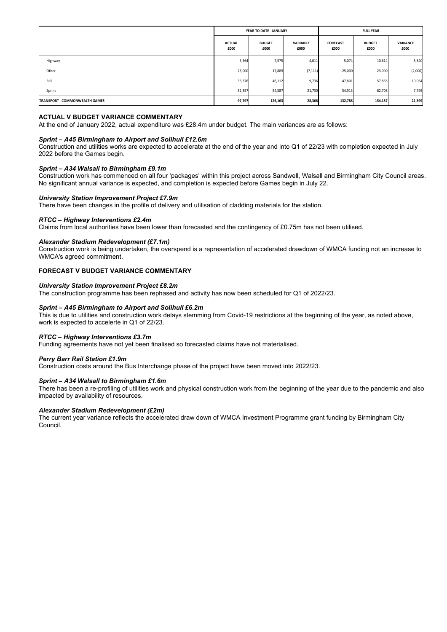|                                       |                       | YEAR TO DATE - JANUARY |                         | <b>FULL YEAR</b>        |                       |                  |  |
|---------------------------------------|-----------------------|------------------------|-------------------------|-------------------------|-----------------------|------------------|--|
|                                       | <b>ACTUAL</b><br>£000 | <b>BUDGET</b><br>£000  | <b>VARIANCE</b><br>£000 | <b>FORECAST</b><br>£000 | <b>BUDGET</b><br>£000 | VARIANCE<br>£000 |  |
| Highway                               | 3,564                 | 7,575                  | 4,011                   | 5,074                   | 10,614                | 5,540            |  |
| Other                                 | 25,000                | 17,889                 | (7, 111)                | 25,000                  | 23,000                | (2,000)          |  |
| Rail                                  | 36,376                | 46,112                 | 9,736                   | 47,801                  | 57,865                | 10,064           |  |
| Sprint                                | 32,857                | 54,587                 | 21,730                  | 54,913                  | 62,708                | 7,795            |  |
| <b>TRANSPORT - COMMONWEALTH GAMES</b> | 97,797                | 126,163                | 28,366                  | 132,788                 | 154,187               | 21,399           |  |

At the end of January 2022, actual expenditure was £28.4m under budget. The main variances are as follows:

### *Sprint – A45 Birmingham to Airport and Solihull £12.6m*

Construction and utilities works are expected to accelerate at the end of the year and into Q1 of 22/23 with completion expected in July 2022 before the Games begin.

### *Sprint – A34 Walsall to Birmingham £9.1m*

Construction work has commenced on all four 'packages' within this project across Sandwell, Walsall and Birmingham City Council areas. No significant annual variance is expected, and completion is expected before Games begin in July 22.

### *University Station Improvement Project £7.9m*

There have been changes in the profile of delivery and utilisation of cladding materials for the station.

### *RTCC – Highway Interventions £2.4m*

Claims from local authorities have been lower than forecasted and the contingency of £0.75m has not been utilised.

#### *Alexander Stadium Redevelopment (£7.1m)*

Construction work is being undertaken, the overspend is a representation of accelerated drawdown of WMCA funding not an increase to WMCA's agreed commitment.

### **FORECAST V BUDGET VARIANCE COMMENTARY**

### *University Station Improvement Project £8.2m*

The construction programme has been rephased and activity has now been scheduled for Q1 of 2022/23.

### *Sprint – A45 Birmingham to Airport and Solihull £6.2m*

This is due to utilities and construction work delays stemming from Covid-19 restrictions at the beginning of the year, as noted above, work is expected to accelerte in Q1 of 22/23.

### *RTCC – Highway Interventions £3.7m*

Funding agreements have not yet been finalised so forecasted claims have not materialised.

#### *Perry Barr Rail Station £1.9m*

Construction costs around the Bus Interchange phase of the project have been moved into 2022/23.

### *Sprint – A34 Walsall to Birmingham £1.6m*

There has been a re-profiling of utilities work and physical construction work from the beginning of the year due to the pandemic and also impacted by availability of resources.

#### *Alexander Stadium Redevelopment (£2m)*

The current year variance reflects the accelerated draw down of WMCA Investment Programme grant funding by Birmingham City Council.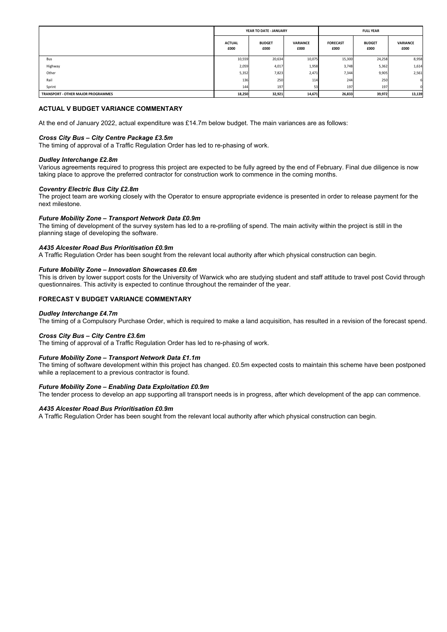|                                           |                       | YEAR TO DATE - JANUARY |                         | <b>FULL YEAR</b>        |                       |                         |  |
|-------------------------------------------|-----------------------|------------------------|-------------------------|-------------------------|-----------------------|-------------------------|--|
|                                           | <b>ACTUAL</b><br>£000 | <b>BUDGET</b><br>£000  | <b>VARIANCE</b><br>£000 | <b>FORECAST</b><br>£000 | <b>BUDGET</b><br>£000 | <b>VARIANCE</b><br>£000 |  |
| Bus                                       | 10,559                | 20,634                 | 10,075                  | 15,300                  | 24,258                | 8,958                   |  |
| Highway                                   | 2,059                 | 4,017                  | 1,958                   | 3,748                   | 5,362                 | 1,614                   |  |
| Other                                     | 5,352                 | 7,823                  | 2,471                   | 7,344                   | 9,905                 | 2,561                   |  |
| Rail                                      | 136                   | 250                    | 114                     | 244                     | 250                   |                         |  |
| Sprint                                    | 144                   | 197                    | 53                      | 197                     | 197                   | $\Omega$                |  |
| <b>TRANSPORT - OTHER MAJOR PROGRAMMES</b> | 18,250                | 32,921                 | 14,671                  | 26,833                  | 39,972                | 13,139                  |  |

At the end of January 2022, actual expenditure was £14.7m below budget. The main variances are as follows:

### *Cross City Bus – City Centre Package £3.5m*

The timing of approval of a Traffic Regulation Order has led to re-phasing of work.

### *Dudley Interchange £2.8m*

Various agreements required to progress this project are expected to be fully agreed by the end of February. Final due diligence is now taking place to approve the preferred contractor for construction work to commence in the coming months.

### *Coventry Electric Bus City £2.8m*

The project team are working closely with the Operator to ensure appropriate evidence is presented in order to release payment for the next milestone.

### *Future Mobility Zone – Transport Network Data £0.9m*

The timing of development of the survey system has led to a re-profiling of spend. The main activity within the project is still in the planning stage of developing the software.

### *A435 Alcester Road Bus Prioritisation £0.9m*

A Traffic Regulation Order has been sought from the relevant local authority after which physical construction can begin.

### *Future Mobility Zone – Innovation Showcases £0.6m*

This is driven by lower support costs for the University of Warwick who are studying student and staff attitude to travel post Covid through questionnaires. This activity is expected to continue throughout the remainder of the year.

### **FORECAST V BUDGET VARIANCE COMMENTARY**

#### *Dudley Interchange £4.7m*

The timing of a Compulsory Purchase Order, which is required to make a land acquisition, has resulted in a revision of the forecast spend.

### *Cross City Bus – City Centre £3.6m*

The timing of approval of a Traffic Regulation Order has led to re-phasing of work.

### *Future Mobility Zone – Transport Network Data £1.1m*

The timing of software development within this project has changed. £0.5m expected costs to maintain this scheme have been postponed while a replacement to a previous contractor is found.

### *Future Mobility Zone – Enabling Data Exploitation £0.9m*

The tender process to develop an app supporting all transport needs is in progress, after which development of the app can commence.

#### *A435 Alcester Road Bus Prioritisation £0.9m*

A Traffic Regulation Order has been sought from the relevant local authority after which physical construction can begin.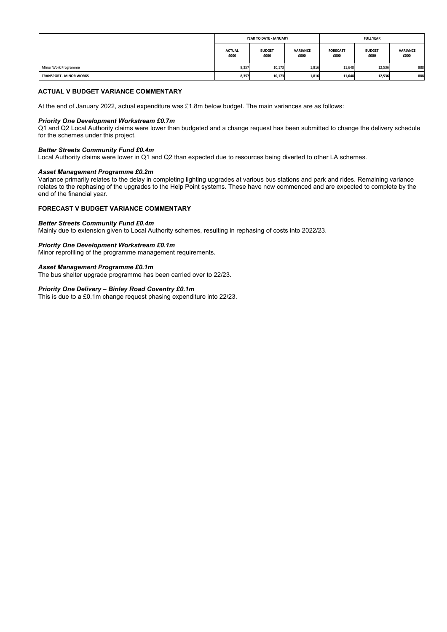|                                |                       | YEAR TO DATE - JANUARY |                         | <b>FULL YEAR</b>        |                       |                  |  |
|--------------------------------|-----------------------|------------------------|-------------------------|-------------------------|-----------------------|------------------|--|
|                                | <b>ACTUAL</b><br>£000 | <b>BUDGET</b><br>£000  | <b>VARIANCE</b><br>£000 | <b>FORECAST</b><br>£000 | <b>BUDGET</b><br>£000 | VARIANCE<br>£000 |  |
| Minor Work Programme           | 8,357                 | 10,173                 | 1,816                   | 11,648                  | 12,536                | 888              |  |
| <b>TRANSPORT - MINOR WORKS</b> | 8,357                 | 10,173                 | 1,816                   | 11,648                  | 12,536                | 888              |  |

At the end of January 2022, actual expenditure was £1.8m below budget. The main variances are as follows:

### *Priority One Development Workstream £0.7m*

Q1 and Q2 Local Authority claims were lower than budgeted and a change request has been submitted to change the delivery schedule for the schemes under this project.

### *Better Streets Community Fund £0.4m*

Local Authority claims were lower in Q1 and Q2 than expected due to resources being diverted to other LA schemes.

### *Asset Management Programme £0.2m*

Variance primarily relates to the delay in completing lighting upgrades at various bus stations and park and rides. Remaining variance relates to the rephasing of the upgrades to the Help Point systems. These have now commenced and are expected to complete by the end of the financial year.

### **FORECAST V BUDGET VARIANCE COMMENTARY**

### *Better Streets Community Fund £0.4m*

Mainly due to extension given to Local Authority schemes, resulting in rephasing of costs into 2022/23.

### *Priority One Development Workstream £0.1m*

Minor reprofiling of the programme management requirements.

### *Asset Management Programme £0.1m*

The bus shelter upgrade programme has been carried over to 22/23.

### *Priority One Delivery – Binley Road Coventry £0.1m*

This is due to a £0.1m change request phasing expenditure into 22/23.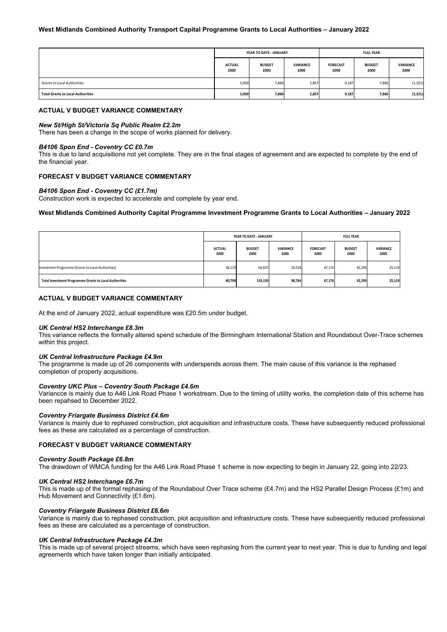### **West Midlands Combined Authority Transport Capital Programme Grants to Local Authorities – January 2022**

|                                          | YEAR TO DATE - JANUARY |                       |                         | <b>FULL YEAR</b>        |                       |                  |  |
|------------------------------------------|------------------------|-----------------------|-------------------------|-------------------------|-----------------------|------------------|--|
|                                          | <b>ACTUAL</b><br>£000  | <b>BUDGET</b><br>£000 | <b>VARIANCE</b><br>£000 | <b>FORECAST</b><br>£000 | <b>BUDGET</b><br>£000 | VARIANCE<br>£000 |  |
| <b>Grants to Local Authorities</b>       | 5,009                  | 7,866                 | 2,857                   | 9,187                   | 7,866                 | (1, 321)         |  |
| <b>Total Grants to Local Authorities</b> | 5,009                  | 7,866                 | 2,857                   | 9,187                   | 7,866                 | (1, 321)         |  |

### **ACTUAL V BUDGET VARIANCE COMMENTARY**

#### *New St/High St/Victoria Sq Public Realm £2.2m*

There has been a change in the scope of works planned for delivery.

### *B4106 Spon End - Coventry CC £0.7m*

This is due to land acquisitions not yet complete. They are in the final stages of agreement and are expected to complete by the end of the financial year.

### **FORECAST V BUDGET VARIANCE COMMENTARY**

### *B4106 Spon End - Coventry CC (£1.7m)*

Construction work is expected to accelerate and complete by year end.

### **West Midlands Combined Authority Capital Programme Investment Programme Grants to Local Authorities – January 2022**

|                                                               |                       | YEAR TO DATE - JANUARY |                         | <b>FULL YEAR</b>        |                       |                  |  |
|---------------------------------------------------------------|-----------------------|------------------------|-------------------------|-------------------------|-----------------------|------------------|--|
|                                                               | <b>ACTUAL</b><br>£000 | <b>BUDGET</b><br>£000  | <b>VARIANCE</b><br>£000 | <b>FORECAST</b><br>£000 | <b>BUDGET</b><br>£000 | VARIANCE<br>£000 |  |
| Investment Programme (Grants to Local Authorities)            | 46,119                | 66,637                 | 20,518                  | 67,176                  | 92,295                | 25,119           |  |
| <b>Total Investment Programme Grants to Local Authorities</b> | 80,790                | 135,150                | 98,764                  | 67,176                  | 92,295                | 25,119           |  |

### **ACTUAL V BUDGET VARIANCE COMMENTARY**

At the end of January 2022, actual expenditure was £20.5m under budget.

### *UK Central HS2 Interchange £8.3m*

This variance reflects the formally altered spend schedule of the Birmingham International Station and Roundabout Over-Trace schemes within this project.

#### *UK Central Infrastructure Package £4.9m*

The programme is made up of 26 components with underspends across them. The main cause of this variance is the rephased completion of property acquisitions.

### *Coventry UKC Plus – Coventry South Package £4.6m*

Variancce is mainly due to A46 Link Road Phase 1 workstream. Due to the timing of utility works, the completion date of this scheme has been repahsed to December 2022.

### *Coventry Friargate Business District £4.6m*

Variance is mainly due to rephased construction, plot acquisition and infrastructure costs. These have subsequently reduced professional fees as these are calculated as a percentage of construction.

### **FORECAST V BUDGET VARIANCE COMMENTARY**

#### *Coventry South Package £6.8m*

The drawdown of WMCA funding for the A46 Link Road Phase 1 scheme is now expecting to begin in January 22, going into 22/23.

#### *UK Central HS2 Interchange £6.7m*

This is made up of the formal rephasing of the Roundabout Over Trace scheme (£4.7m) and the HS2 Parallel Design Process (£1m) and Hub Movement and Connectivity (£1.6m).

#### *Coventry Friargate Business District £6.6m*

Variance is mainly due to rephased construction, plot acquisition and infrastructure costs. These have subsequently reduced professional fees as these are calculated as a percentage of construction.

#### *UK Central Infrastructure Package £4.3m*

This is made up of several project streams, which have seen rephasing from the current year to next year. This is due to funding and legal agreements which have taken longer than initially anticipated.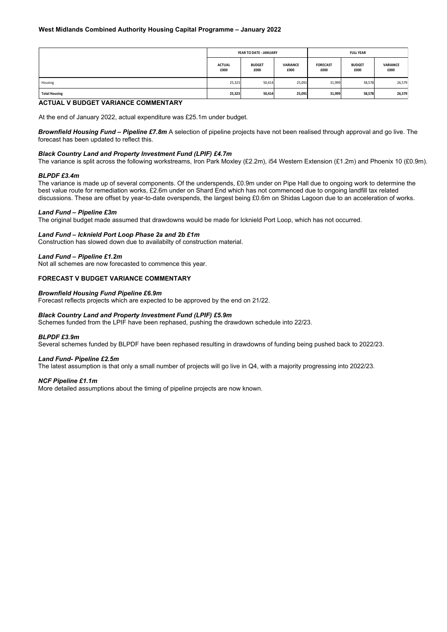|                      | YEAR TO DATE - JANUARY |                       |                         | <b>FULL YEAR</b>        |                       |                  |  |
|----------------------|------------------------|-----------------------|-------------------------|-------------------------|-----------------------|------------------|--|
|                      | <b>ACTUAL</b><br>£000  | <b>BUDGET</b><br>£000 | <b>VARIANCE</b><br>£000 | <b>FORECAST</b><br>£000 | <b>BUDGET</b><br>£000 | VARIANCE<br>£000 |  |
| Housing              | 25,323                 | 50,414                | 25,091                  | 31,999                  | 58,578                | 26,579           |  |
| <b>Total Housing</b> | 25,323                 | 50,414                | 25,091                  | 31,999                  | 58,578                | 26,579           |  |

At the end of January 2022, actual expenditure was £25.1m under budget.

*Brownfield Housing Fund – Pipeline £7.8m* A selection of pipeline projects have not been realised through approval and go live. The forecast has been updated to reflect this.

### *Black Country Land and Property Investment Fund (LPIF) £4.7m*

The variance is split across the following workstreams, Iron Park Moxley (£2.2m), i54 Western Extension (£1.2m) and Phoenix 10 (£0.9m).

### *BLPDF £3.4m*

The variance is made up of several components. Of the underspends, £0.9m under on Pipe Hall due to ongoing work to determine the best value route for remediation works, £2.6m under on Shard End which has not commenced due to ongoing landfill tax related discussions. These are offset by year-to-date overspends, the largest being £0.6m on Shidas Lagoon due to an acceleration of works.

### *Land Fund – Pipeline £3m*

The original budget made assumed that drawdowns would be made for Icknield Port Loop, which has not occurred.

### *Land Fund – Icknield Port Loop Phase 2a and 2b £1m*

Construction has slowed down due to availabilty of construction material.

### *Land Fund – Pipeline £1.2m*

Not all schemes are now forecasted to commence this year.

### **FORECAST V BUDGET VARIANCE COMMENTARY**

#### *Brownfield Housing Fund Pipeline £6.9m*

Forecast reflects projects which are expected to be approved by the end on 21/22.

### *Black Country Land and Property Investment Fund (LPIF) £5.9m*

Schemes funded from the LPIF have been rephased, pushing the drawdown schedule into 22/23.

### *BLPDF £3.9m*

Several schemes funded by BLPDF have been rephased resulting in drawdowns of funding being pushed back to 2022/23.

#### *Land Fund- Pipeline £2.5m*

The latest assumption is that only a small number of projects will go live in Q4, with a majority progressing into 2022/23.

### *NCF Pipeline £1.1m*

More detailed assumptions about the timing of pipeline projects are now known.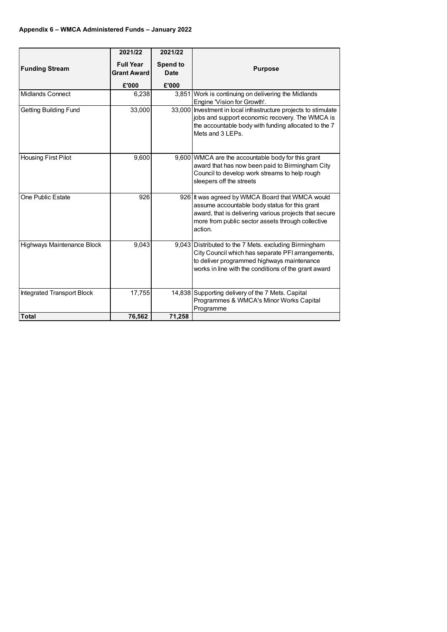|                                   | 2021/22                                         | 2021/22                                 |                                                                                                                                                                                                                            |
|-----------------------------------|-------------------------------------------------|-----------------------------------------|----------------------------------------------------------------------------------------------------------------------------------------------------------------------------------------------------------------------------|
| <b>Funding Stream</b>             | <b>Full Year</b><br><b>Grant Award</b><br>£'000 | <b>Spend to</b><br><b>Date</b><br>£'000 | <b>Purpose</b>                                                                                                                                                                                                             |
| <b>Midlands Connect</b>           | 6,238                                           |                                         | 3,851 Work is continuing on delivering the Midlands                                                                                                                                                                        |
|                                   |                                                 |                                         | Engine 'Vision for Growth'.                                                                                                                                                                                                |
| <b>Getting Building Fund</b>      | 33,000                                          | 33,000                                  | Investment in local infrastructure projects to stimulate<br>jobs and support economic recovery. The WMCA is<br>the accountable body with funding allocated to the 7<br>Mets and 3 LEPs.                                    |
| <b>Housing First Pilot</b>        | 9,600                                           |                                         | 9,600 WMCA are the accountable body for this grant<br>award that has now been paid to Birmingham City<br>Council to develop work streams to help rough<br>sleepers off the streets                                         |
| One Public Estate                 | 926                                             |                                         | 926 It was agreed by WMCA Board that WMCA would<br>assume accountable body status for this grant<br>award, that is delivering various projects that secure<br>more from public sector assets through collective<br>action. |
| Highways Maintenance Block        | 9,043                                           |                                         | 9,043 Distributed to the 7 Mets. excluding Birmingham<br>City Council which has separate PFI arrangements,<br>to deliver programmed highways maintenance<br>works in line with the conditions of the grant award           |
| <b>Integrated Transport Block</b> | 17,755                                          |                                         | 14,838 Supporting delivery of the 7 Mets. Capital<br>Programmes & WMCA's Minor Works Capital<br>Programme                                                                                                                  |
| <b>Total</b>                      | 76,562                                          | 71,258                                  |                                                                                                                                                                                                                            |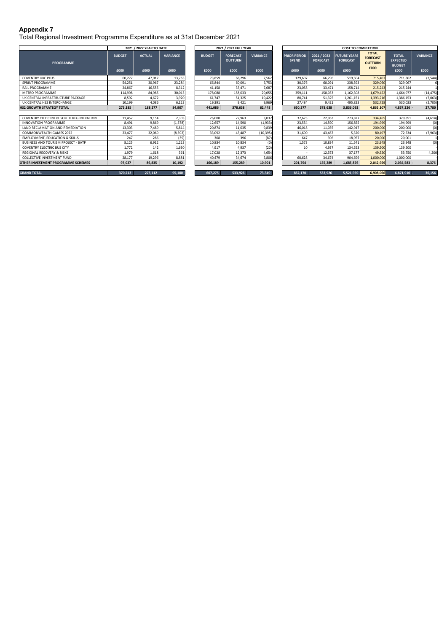Total Regional Investment Programme Expenditure as at 31st December 2021

|                                            |                       | 2021 / 2022 YEAR TO DATE |                         |                       | 2021 / 2022 FULL YEAR                     |                         |                                             |                                        | <b>COST TO COMPLETION</b>                      |                                                           |                                                          |                         |
|--------------------------------------------|-----------------------|--------------------------|-------------------------|-----------------------|-------------------------------------------|-------------------------|---------------------------------------------|----------------------------------------|------------------------------------------------|-----------------------------------------------------------|----------------------------------------------------------|-------------------------|
| <b>PROGRAMME</b>                           | <b>BUDGET</b><br>£000 | <b>ACTUAL</b><br>£000    | <b>VARIANCE</b><br>£000 | <b>BUDGET</b><br>£000 | <b>FORECAST</b><br><b>OUTTURN</b><br>£000 | <b>VARIANCE</b><br>£000 | <b>PRIOR PERIOD</b><br><b>SPEND</b><br>£000 | 2021 / 2022<br><b>FORECAST</b><br>£000 | <b>FUTURE YEARS</b><br><b>FORECAST</b><br>£000 | <b>TOTAL</b><br><b>FORECAST</b><br><b>OUTTURN</b><br>£000 | <b>TOTAL</b><br><b>EXPECTED</b><br><b>BUDGET</b><br>£000 | <b>VARIANCE</b><br>£000 |
| <b>COVENTRY UKC PLUS</b>                   | 60.277                | 47,012                   | 13,265                  | 73,859                | 66,296                                    | 7,562                   | 129,607                                     | 66,296                                 | 519,504                                        | 715,407                                                   | 711,862                                                  | (3,544)                 |
| SPRINT PROGRAMME                           | 54,251                | 30,967                   | 23,284                  | 66,844                | 60,091                                    | 6,753                   | 30,376                                      | 60,091                                 | 238,593                                        | 329,060                                                   | 329,067                                                  |                         |
| <b>RAIL PROGRAMME</b>                      | 24,867                | 16,555                   | 8,312                   | 41,158                | 33,471                                    | 7,687                   | 23,058                                      | 33,471                                 | 158,714                                        | 215,243                                                   | 215,244                                                  |                         |
| <b>METRO PROGRAMME</b>                     | 114.998               | 84,985                   | 30,013                  | 178,088               | 158,033                                   | 20,055                  | 359,111                                     | 158,033                                | 1,162,308                                      | 1,679,452                                                 | 1,664,977                                                | (14, 475)               |
| UK CENTRAL INFRASTRUCTURE PACKAGE          | 8,592                 | 4,672                    | 3,920                   | 61.747                | 51,325                                    | 10,422                  | 80,741                                      | 51,325                                 | 1,261,151                                      | 1,393,216                                                 | 1,386,153                                                | (7,063)                 |
| UK CENTRAL HS2 INTERCHANGE                 | 10,199                | 4,086                    | 6,113                   | 19,391                | 9.421                                     | 9,969                   | 27,484                                      | 9.421                                  | 495,823                                        | 532,728                                                   | 530,023                                                  | (2,705)                 |
| <b>HS2 GROWTH STRATEGY TOTAL</b>           | 273,185               | 188.277                  | 84,907                  | 441,086               | 378.638                                   | 62,448                  | 650,377                                     | 378,638                                | 3,836,092                                      | 4,865,107                                                 | 4,837,326 -                                              | 27,780                  |
|                                            |                       |                          |                         |                       |                                           |                         |                                             |                                        |                                                |                                                           |                                                          |                         |
| COVENTRY CITY CENTRE SOUTH REGENERATION    | 11,457                | 9,154                    | 2,303                   | 26,000                | 22,963                                    | 3,037                   | 37,675                                      | 22,963                                 | 273,827                                        | 334,465                                                   | 329,851                                                  | (4,614)                 |
| <b>INNOVATION PROGRAMME</b>                | 8,491                 | 9.869                    | (1, 378)                | 12,657                | 14,590                                    | (1,933)                 | 23,554                                      | 14,590                                 | 156,855                                        | 194.999                                                   | 194,999                                                  | (0)                     |
| LAND RECLAMATION AND REMEDIATION           | 13,303                | 7,489                    | 5,814                   | 20,874                | 11,035                                    | 9,839                   | 46,018                                      | 11,035                                 | 142,947                                        | 200,000                                                   | 200,000                                                  | (0)                     |
| <b>COMMONWEALTH GAMES 2022</b>             | 23,477                | 32,069                   | (8, 592)                | 33,092                | 43.487                                    | (10, 395)               | 31,690                                      | 43.487                                 | 5,320                                          | 80,497                                                    | 72,534                                                   | (7,963)                 |
| <b>EMPLOYMENT, EDUCATION &amp; SKILLS</b>  | 247                   | 286                      | (39)                    | 308                   | 396                                       | (87)                    | 647                                         | 396                                    | 18,957                                         | 20,000                                                    | 20,001                                                   |                         |
| <b>BUSINESS AND TOURISM PROJECT - BATP</b> | 8,125                 | 6,912                    | 1,213                   | 10,834                | 10,834                                    | (0)                     | 1,573                                       | 10,834                                 | 11,541                                         | 23,948                                                    | 23,948                                                   | (0)                     |
| <b>COVENTRY ELECTRIC BUS CITY</b>          | 1.772                 | 142                      | 1,630                   | 4.917                 | 4,937                                     | (20)                    | 10                                          | 4.937                                  | 134,553                                        | 139,500                                                   | 139,500                                                  |                         |
| <b>REGIONAL RECOVERY &amp; RISKS</b>       | 1,979                 | 1,618                    | 361                     | 17.028                | 12,373                                    | 4,654                   | $\sim$                                      | 12,373                                 | 37,177                                         | 49.550                                                    | 53,750                                                   | 4,200                   |
| <b>COLLECTIVE INVESTMENT FUND</b>          | 28.177                | 19.296                   | 8,881                   | 40.479                | 34,674                                    | 5,806                   | 60.628                                      | 34,674                                 | 904,699                                        | 1,000,000                                                 | 1,000,000                                                |                         |
| <b>OTHER INVESTMENT PROGRAMME SCHEMES</b>  | 97,027                | 86,835                   | 10,192                  | 166,189               | 155,289                                   | 10,901                  | 201,794                                     | 155,289                                | 1,685,876                                      | 2,042,959                                                 | $2,034,583$ -                                            | 8,376                   |
| <b>GRAND TOTAL</b>                         | 370,212               | 275,112                  | 95,100                  | 607,275               | 533,926                                   | 73,349                  | 852,170                                     | 533,926                                | 5,521,969                                      | 6,908,066                                                 | 6,871,910                                                | 36,156                  |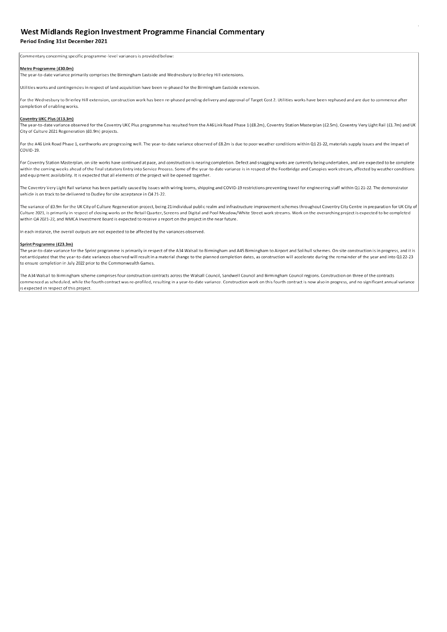### West Midlands Region Investment Programme Financial Commentary

#### Period Ending 31st December 2021

Commentary concerning specific programme-level variances is provided below:

#### Metro Programme (£30.0m)

The year-to-date variance primarily comprises the Birmingham Eastside and Wednesbury to Brierley Hill extensions.

Utilities works and contingencies in respect of land acquisition have been re-phased for the Birmingham Eastside extension.

For the Wednesbury to Brierley Hill extension, construction work has been re-phased pending delivery and approval of Target Cost 2. Utilities works have been rephased and are due to commence after completion of enabling works.

#### Coventry UKC Plus (£13.3m)

The year-to-date variance observed for the Coventry UKC Plus programme has resulted from the A46 Link Road Phase 1 (£8.2m), Coventry Station Masterplan (£2.5m), Coventry Very Light Rail (£1.7m) and UK City of Culture 2021 Regeneration (£0.9m) projects.

For the A46 Link Road Phase 1, earthworks are progressing well. The year-to-date variance observed of £8.2m is due to poor weather conditions within Q1 21-22, materials supply issues and the impact of COVID-19.

For Coventry Station Masterplan, on site works have continued at pace, and construction is nearing completion. Defect and snagging works are currently being undertaken, and are expected to be complete within the coming weeks ahead of the final statutory Entry into Service Process. Some of the year-to-date variance is in respect of the Footbridge and Canopies work stream, affected by weather conditions and equipment availability. It is expected that all elements of the project will be opened together.

The Coventry Very Light Rail variance has been partially caused by issues with wiring looms, shipping and COVID-19 restrictions preventing travel for engineering staff within Q121-22. The demonstrator vehicle is on track to be delivered to Dudley for site acceptance in Q4 21-22.

The variance of £0.9m for the UK City of Culture Regeneration project, being 21 individual public realm and infrastructure improvement schemes throughout Coventry City Centre in preparation for UK City of Culture 2021, is primarily in respect of closing works on the Retail Quarter, Screens and Digital and Pool Meadow/White Street work streams. Work on the overarching project is expected to be completed within Q4 2021-22, and WMCA Investment Board is expected to receive a report on the project in the near future.

In each instance, the overall outputs are not expected to be affected by the variances observed.

#### Sprint Programme (£23.3m)

The year-to-date variance for the Sprint programme is primarily in respect of the A34 Walsall to Birmingham and A45 Birmingham to Airport and Solihull schemes. On-site construction is in progress, and it is not anticipated that the year-to-date variances observed will result in a material change to the planned completion dates, as construction will accelerate during the remainder of the year and into Q122-23 to ensure completion in July 2022 prior to the Commonwealth Games.

The A34 Walsall to Birmingham scheme comprises four construction contracts across the Walsall Council, Sandwell Council and Birmingham Council regions. Construction on three of the contracts commenced as scheduled, while the fourth contract was re-profiled, resulting in a year-to-date variance. Construction work on this fourth contract is now also in progress, and no significant annual variance is expected in respect of this project.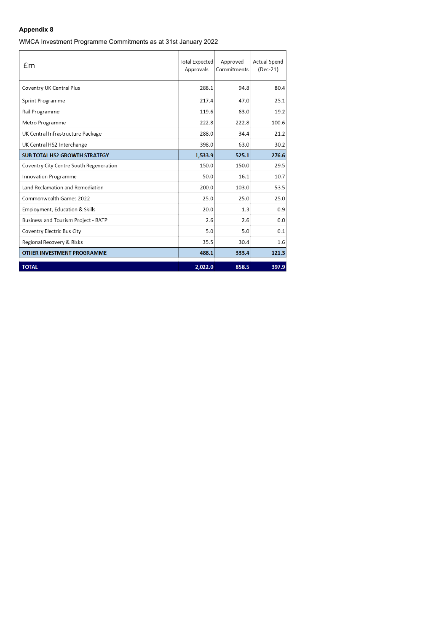WMCA Investment Programme Commitments as at 31st January 2022

| £m                                      | <b>Total Expected</b><br>Approvals | Approved<br>Commitments | <b>Actual Spend</b><br>$(Dec-21)$ |
|-----------------------------------------|------------------------------------|-------------------------|-----------------------------------|
| Coventry UK Central Plus                | 288.1                              | 94.8                    | 80.4                              |
| Sprint Programme                        | 217.4                              | 47.0                    | 25.1                              |
| Rail Programme                          | 119.6                              | 63.0                    | 19.2                              |
| Metro Programme                         | 222.8                              | 222.8                   | 100.6                             |
| UK Central Infrastructure Package       | 288.0                              | 34.4                    | 21.2                              |
| UK Central HS2 Interchange              | 398.0                              | 63.0                    | 30.2                              |
| <b>SUB TOTAL HS2 GROWTH STRATEGY</b>    | 1,533.9                            | 525.1                   | 276.6                             |
| Coventry City Centre South Regeneration | 150.0                              | 150.0                   | 29.5                              |
| <b>Innovation Programme</b>             | 50.0                               | 16.1                    | 10.7                              |
| Land Reclamation and Remediation        | 200.0                              | 103.0                   | 53.5                              |
| Commonwealth Games 2022                 | 25.0                               | 25.0                    | 25.0                              |
| Employment, Education & Skills          | 20.0                               | 1.3                     | 0.9                               |
| Business and Tourism Project - BATP     | 2.6                                | 2.6                     | 0.0                               |
| Coventry Electric Bus City              | 5.0                                | 5.0                     | 0.1                               |
| Regional Recovery & Risks               | 35.5                               | 30.4                    | 1.6                               |
| <b>OTHER INVESTMENT PROGRAMME</b>       | 488.1                              | 333.4                   | 121.3                             |
| <b>TOTAL</b>                            | 2,022.0                            | 858.5                   | 397.9                             |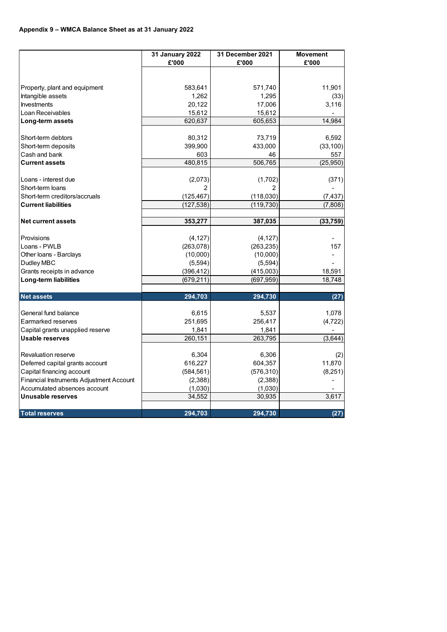|                                                                              | <b>31 January 2022</b> | 31 December 2021   | <b>Movement</b> |
|------------------------------------------------------------------------------|------------------------|--------------------|-----------------|
|                                                                              | £'000                  | £'000              | £'000           |
|                                                                              |                        |                    |                 |
| Property, plant and equipment                                                | 583,641                | 571,740            | 11,901          |
| Intangible assets                                                            | 1,262                  | 1,295              | (33)            |
| Investments                                                                  | 20,122                 | 17,006             | 3,116           |
| Loan Receivables                                                             | 15,612                 | 15,612             |                 |
| Long-term assets                                                             | 620,637                | 605,653            | 14,984          |
|                                                                              |                        |                    |                 |
| Short-term debtors                                                           | 80,312                 | 73,719             | 6,592           |
| Short-term deposits                                                          | 399,900                | 433,000            | (33, 100)       |
| Cash and bank                                                                | 603                    | 46                 | 557             |
| <b>Current assets</b>                                                        | 480,815                | 506,765            | (25,950)        |
|                                                                              |                        |                    |                 |
| Loans - interest due                                                         | (2,073)                | (1,702)            | (371)           |
| Short-term loans                                                             | 2                      | 2                  |                 |
| Short-term creditors/accruals                                                | (125, 467)             | (118, 030)         | (7, 437)        |
| <b>Current liabilities</b>                                                   | (127, 538)             | (119, 730)         | (7,808)         |
|                                                                              |                        |                    |                 |
| <b>Net current assets</b>                                                    | 353,277                | 387,035            | (33, 759)       |
| Provisions                                                                   | (4, 127)               | (4, 127)           |                 |
| Loans - PWLB                                                                 | (263, 078)             | (263, 235)         | 157             |
| Other Ioans - Barclays                                                       | (10,000)               | (10,000)           |                 |
| Dudley MBC                                                                   | (5,594)                | (5,594)            |                 |
| Grants receipts in advance                                                   | (396, 412)             | (415,003)          | 18,591          |
| Long-term liabilities                                                        | (679,211)              | (697,959)          | 18,748          |
|                                                                              |                        |                    |                 |
| <b>Net assets</b>                                                            | 294,703                | 294,730            | (27)            |
|                                                                              |                        |                    |                 |
| General fund balance                                                         | 6,615                  | 5,537              | 1,078           |
| <b>Earmarked reserves</b>                                                    | 251,695                | 256,417            | (4, 722)        |
| Capital grants unapplied reserve                                             | 1,841                  | 1,841              |                 |
| <b>Usable reserves</b>                                                       | 260,151                | 263,795            | (3,644)         |
| <b>Revaluation reserve</b>                                                   |                        |                    |                 |
|                                                                              | 6,304                  | 6,306              | (2)             |
| Deferred capital grants account                                              | 616,227                | 604,357            | 11,870          |
| Capital financing account<br><b>Financial Instruments Adjustment Account</b> | (584, 561)<br>(2,388)  | (576, 310)         | (8,251)         |
| Accumulated absences account                                                 | (1,030)                | (2,388)<br>(1,030) |                 |
| <b>Unusable reserves</b>                                                     | 34,552                 | 30,935             | 3,617           |
|                                                                              |                        |                    |                 |
| <b>Total reserves</b>                                                        | 294,703                | 294,730            | (27)            |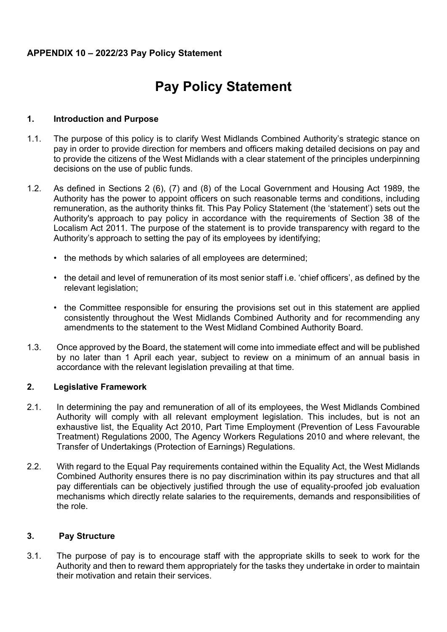### **APPENDIX 10 – 2022/23 Pay Policy Statement**

# **Pay Policy Statement**

#### **1. Introduction and Purpose**

- 1.1. The purpose of this policy is to clarify West Midlands Combined Authority's strategic stance on pay in order to provide direction for members and officers making detailed decisions on pay and to provide the citizens of the West Midlands with a clear statement of the principles underpinning decisions on the use of public funds.
- 1.2. As defined in Sections 2 (6), (7) and (8) of the Local Government and Housing Act 1989, the Authority has the power to appoint officers on such reasonable terms and conditions, including remuneration, as the authority thinks fit. This Pay Policy Statement (the 'statement') sets out the Authority's approach to pay policy in accordance with the requirements of Section 38 of the Localism Act 2011. The purpose of the statement is to provide transparency with regard to the Authority's approach to setting the pay of its employees by identifying;
	- the methods by which salaries of all employees are determined;
	- the detail and level of remuneration of its most senior staff i.e. 'chief officers', as defined by the relevant legislation;
	- the Committee responsible for ensuring the provisions set out in this statement are applied consistently throughout the West Midlands Combined Authority and for recommending any amendments to the statement to the West Midland Combined Authority Board.
- 1.3. Once approved by the Board, the statement will come into immediate effect and will be published by no later than 1 April each year, subject to review on a minimum of an annual basis in accordance with the relevant legislation prevailing at that time.

#### **2. Legislative Framework**

- 2.1. In determining the pay and remuneration of all of its employees, the West Midlands Combined Authority will comply with all relevant employment legislation. This includes, but is not an exhaustive list, the Equality Act 2010, Part Time Employment (Prevention of Less Favourable Treatment) Regulations 2000, The Agency Workers Regulations 2010 and where relevant, the Transfer of Undertakings (Protection of Earnings) Regulations.
- 2.2. With regard to the Equal Pay requirements contained within the Equality Act, the West Midlands Combined Authority ensures there is no pay discrimination within its pay structures and that all pay differentials can be objectively justified through the use of equality-proofed job evaluation mechanisms which directly relate salaries to the requirements, demands and responsibilities of the role.

### **3. Pay Structure**

3.1. The purpose of pay is to encourage staff with the appropriate skills to seek to work for the Authority and then to reward them appropriately for the tasks they undertake in order to maintain their motivation and retain their services.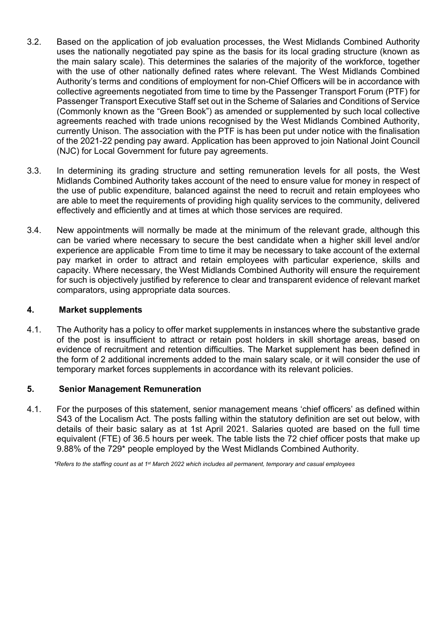- 3.2. Based on the application of job evaluation processes, the West Midlands Combined Authority uses the nationally negotiated pay spine as the basis for its local grading structure (known as the main salary scale). This determines the salaries of the majority of the workforce, together with the use of other nationally defined rates where relevant. The West Midlands Combined Authority's terms and conditions of employment for non-Chief Officers will be in accordance with collective agreements negotiated from time to time by the Passenger Transport Forum (PTF) for Passenger Transport Executive Staff set out in the Scheme of Salaries and Conditions of Service (Commonly known as the "Green Book") as amended or supplemented by such local collective agreements reached with trade unions recognised by the West Midlands Combined Authority, currently Unison. The association with the PTF is has been put under notice with the finalisation of the 2021-22 pending pay award. Application has been approved to join National Joint Council (NJC) for Local Government for future pay agreements.
- 3.3. In determining its grading structure and setting remuneration levels for all posts, the West Midlands Combined Authority takes account of the need to ensure value for money in respect of the use of public expenditure, balanced against the need to recruit and retain employees who are able to meet the requirements of providing high quality services to the community, delivered effectively and efficiently and at times at which those services are required.
- 3.4. New appointments will normally be made at the minimum of the relevant grade, although this can be varied where necessary to secure the best candidate when a higher skill level and/or experience are applicable From time to time it may be necessary to take account of the external pay market in order to attract and retain employees with particular experience, skills and capacity. Where necessary, the West Midlands Combined Authority will ensure the requirement for such is objectively justified by reference to clear and transparent evidence of relevant market comparators, using appropriate data sources.

### **4. Market supplements**

4.1. The Authority has a policy to offer market supplements in instances where the substantive grade of the post is insufficient to attract or retain post holders in skill shortage areas, based on evidence of recruitment and retention difficulties. The Market supplement has been defined in the form of 2 additional increments added to the main salary scale, or it will consider the use of temporary market forces supplements in accordance with its relevant policies.

#### **5. Senior Management Remuneration**

4.1. For the purposes of this statement, senior management means 'chief officers' as defined within S43 of the Localism Act. The posts falling within the statutory definition are set out below, with details of their basic salary as at 1st April 2021. Salaries quoted are based on the full time equivalent (FTE) of 36.5 hours per week. The table lists the 72 chief officer posts that make up 9.88% of the 729\* people employed by the West Midlands Combined Authority.

\*Refers to the staffing count as at 1<sup>st</sup> March 2022 which includes all permanent, temporary and casual employees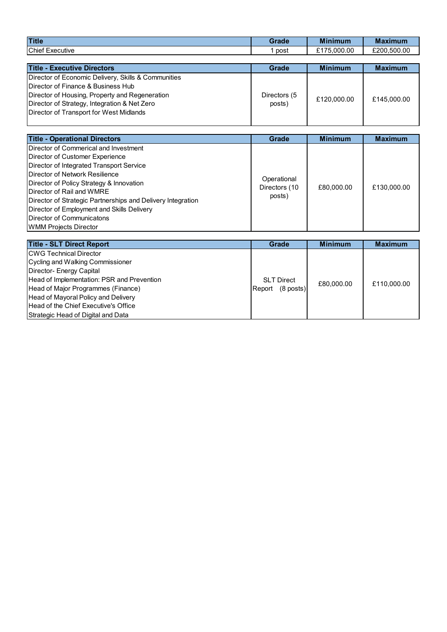| <b>Title</b>                            | <b><i><u>Rrade</u></i></b> | <b>Minimum</b>      | M:<br>aximum |
|-----------------------------------------|----------------------------|---------------------|--------------|
| Chief<br>$\sim$ $-$<br>. .<br>Executive | post                       | .000.00<br>175<br>- | £200.500.00  |

| <b>Title - Executive Directors</b>                  | Grade        | <b>Minimum</b> | <b>Maximum</b> |
|-----------------------------------------------------|--------------|----------------|----------------|
| Director of Economic Delivery, Skills & Communities |              |                |                |
| Director of Finance & Business Hub                  |              |                |                |
| Director of Housing, Property and Regeneration      | Directors (5 | £120,000.00    | £145,000.00    |
| Director of Strategy, Integration & Net Zero        | posts)       |                |                |
| Director of Transport for West Midlands             |              |                |                |

| <b>Title - Operational Directors</b>                                                                                                                                                                                                                                                                                                                                                                      | <b>Grade</b>                           | <b>Minimum</b> | <b>Maximum</b> |
|-----------------------------------------------------------------------------------------------------------------------------------------------------------------------------------------------------------------------------------------------------------------------------------------------------------------------------------------------------------------------------------------------------------|----------------------------------------|----------------|----------------|
| Director of Commerical and Investment<br>Director of Customer Experience<br>Director of Integrated Transport Service<br>Director of Network Resilience<br>Director of Policy Strategy & Innovation<br>Director of Rail and WMRE<br>Director of Strategic Partnerships and Delivery Integration<br>Director of Employment and Skills Delivery<br>Director of Communicatons<br><b>WMM Projects Director</b> | Operational<br>Directors (10<br>posts) | £80,000.00     | £130,000.00    |

| <b>Title - SLT Direct Report</b>            | Grade                 | <b>Minimum</b> | <b>Maximum</b> |
|---------------------------------------------|-----------------------|----------------|----------------|
| <b>ICWG Technical Director</b>              |                       |                |                |
| Cycling and Walking Commissioner            |                       |                |                |
| Director- Energy Capital                    |                       |                |                |
| Head of Implementation: PSR and Prevention  | <b>SLT Direct</b>     | £80,000.00     | £110,000.00    |
| Head of Major Programmes (Finance)          | $(8$ posts)<br>Report |                |                |
| Head of Mayoral Policy and Delivery         |                       |                |                |
| <b>Head of the Chief Executive's Office</b> |                       |                |                |
| Strategic Head of Digital and Data          |                       |                |                |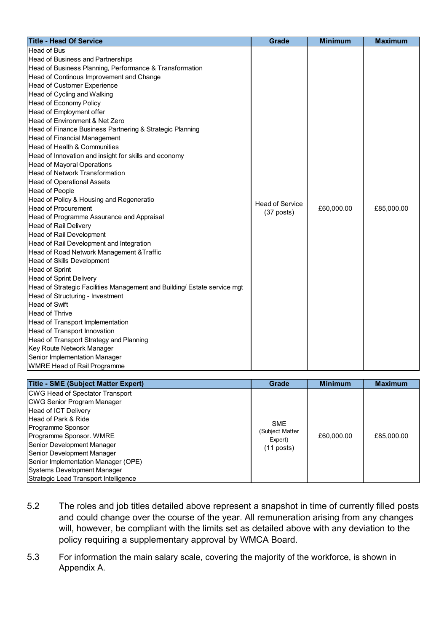| <b>Title - Head Of Service</b>                                           | <b>Grade</b>           | <b>Minimum</b> | <b>Maximum</b> |
|--------------------------------------------------------------------------|------------------------|----------------|----------------|
| <b>Head of Bus</b>                                                       |                        |                |                |
| Head of Business and Partnerships                                        |                        |                |                |
| Head of Business Planning, Performance & Transformation                  |                        |                |                |
| Head of Continous Improvement and Change                                 |                        |                |                |
| Head of Customer Experience                                              |                        |                |                |
| Head of Cycling and Walking                                              |                        |                |                |
| Head of Economy Policy                                                   |                        |                |                |
| Head of Employment offer                                                 |                        |                |                |
| Head of Environment & Net Zero                                           |                        |                |                |
| Head of Finance Business Partnering & Strategic Planning                 |                        |                |                |
| Head of Financial Management                                             |                        |                |                |
| Head of Health & Communities                                             |                        |                |                |
| Head of Innovation and insight for skills and economy                    |                        |                |                |
| <b>Head of Mayoral Operations</b>                                        |                        |                |                |
| <b>Head of Network Transformation</b>                                    |                        |                |                |
| <b>Head of Operational Assets</b>                                        |                        |                |                |
| <b>Head of People</b>                                                    |                        |                |                |
| Head of Policy & Housing and Regeneratio                                 | <b>Head of Service</b> |                |                |
| <b>Head of Procurement</b>                                               | $(37$ posts)           | £60,000.00     | £85,000.00     |
| Head of Programme Assurance and Appraisal                                |                        |                |                |
| Head of Rail Delivery                                                    |                        |                |                |
| Head of Rail Development                                                 |                        |                |                |
| Head of Rail Development and Integration                                 |                        |                |                |
| Head of Road Network Management & Traffic                                |                        |                |                |
| Head of Skills Development                                               |                        |                |                |
| <b>Head of Sprint</b>                                                    |                        |                |                |
| Head of Sprint Delivery                                                  |                        |                |                |
| Head of Strategic Facilities Management and Building/ Estate service mgt |                        |                |                |
| Head of Structuring - Investment                                         |                        |                |                |
| <b>Head of Swift</b>                                                     |                        |                |                |
| Head of Thrive                                                           |                        |                |                |
| Head of Transport Implementation                                         |                        |                |                |
| Head of Transport Innovation                                             |                        |                |                |
| Head of Transport Strategy and Planning                                  |                        |                |                |
| Key Route Network Manager                                                |                        |                |                |
| Senior Implementation Manager                                            |                        |                |                |
| <b>WMRE Head of Rail Programme</b>                                       |                        |                |                |

| <b>Title - SME (Subject Matter Expert)</b>                                                                                                                                                                                                                                                                                                                | Grade                                                    | <b>Minimum</b> | <b>Maximum</b> |
|-----------------------------------------------------------------------------------------------------------------------------------------------------------------------------------------------------------------------------------------------------------------------------------------------------------------------------------------------------------|----------------------------------------------------------|----------------|----------------|
| CWG Head of Spectator Transport<br>CWG Senior Program Manager<br><b>Head of ICT Delivery</b><br><b>Head of Park &amp; Ride</b><br>Programme Sponsor<br>Programme Sponsor. WMRE<br>Senior Development Manager<br>Senior Development Manager<br>Senior Implementation Manager (OPE)<br>Systems Development Manager<br>Strategic Lead Transport Intelligence | <b>SME</b><br>(Subject Matter<br>Expert)<br>$(11$ posts) | £60,000.00     | £85,000.00     |

- 5.2 The roles and job titles detailed above represent a snapshot in time of currently filled posts and could change over the course of the year. All remuneration arising from any changes will, however, be compliant with the limits set as detailed above with any deviation to the policy requiring a supplementary approval by WMCA Board.
- 5.3 For information the main salary scale, covering the majority of the workforce, is shown in Appendix A.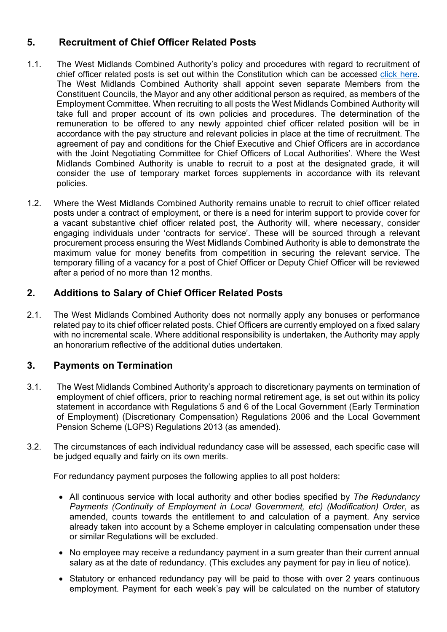### **5. Recruitment of Chief Officer Related Posts**

- 1.1. The West Midlands Combined Authority's policy and procedures with regard to recruitment of chief officer related posts is set out within the Constitution which can be accessed click [here](https://www.wmca.org.uk/media/1576/constitution-master-module-2642017.pdf)*.* The West Midlands Combined Authority shall appoint seven separate Members from the Constituent Councils, the Mayor and any other additional person as required, as members of the Employment Committee. When recruiting to all posts the West Midlands Combined Authority will take full and proper account of its own policies and procedures. The determination of the remuneration to be offered to any newly appointed chief officer related position will be in accordance with the pay structure and relevant policies in place at the time of recruitment. The agreement of pay and conditions for the Chief Executive and Chief Officers are in accordance with the Joint Negotiating Committee for Chief Officers of Local Authorities'. Where the West Midlands Combined Authority is unable to recruit to a post at the designated grade, it will consider the use of temporary market forces supplements in accordance with its relevant policies.
- 1.2. Where the West Midlands Combined Authority remains unable to recruit to chief officer related posts under a contract of employment, or there is a need for interim support to provide cover for a vacant substantive chief officer related post, the Authority will, where necessary, consider engaging individuals under 'contracts for service'. These will be sourced through a relevant procurement process ensuring the West Midlands Combined Authority is able to demonstrate the maximum value for money benefits from competition in securing the relevant service. The temporary filling of a vacancy for a post of Chief Officer or Deputy Chief Officer will be reviewed after a period of no more than 12 months.

### **2. Additions to Salary of Chief Officer Related Posts**

2.1. The West Midlands Combined Authority does not normally apply any bonuses or performance related pay to its chief officer related posts. Chief Officers are currently employed on a fixed salary with no incremental scale. Where additional responsibility is undertaken, the Authority may apply an honorarium reflective of the additional duties undertaken.

### **3. Payments on Termination**

- 3.1. The West Midlands Combined Authority's approach to discretionary payments on termination of employment of chief officers, prior to reaching normal retirement age, is set out within its policy statement in accordance with Regulations 5 and 6 of the Local Government (Early Termination of Employment) (Discretionary Compensation) Regulations 2006 and the Local Government Pension Scheme (LGPS) Regulations 2013 (as amended).
- 3.2. The circumstances of each individual redundancy case will be assessed, each specific case will be judged equally and fairly on its own merits.

For redundancy payment purposes the following applies to all post holders:

- All continuous service with local authority and other bodies specified by *The Redundancy Payments (Continuity of Employment in Local Government, etc) (Modification) Order*, as amended, counts towards the entitlement to and calculation of a payment. Any service already taken into account by a Scheme employer in calculating compensation under these or similar Regulations will be excluded.
- No employee may receive a redundancy payment in a sum greater than their current annual salary as at the date of redundancy. (This excludes any payment for pay in lieu of notice).
- Statutory or enhanced redundancy pay will be paid to those with over 2 years continuous employment. Payment for each week's pay will be calculated on the number of statutory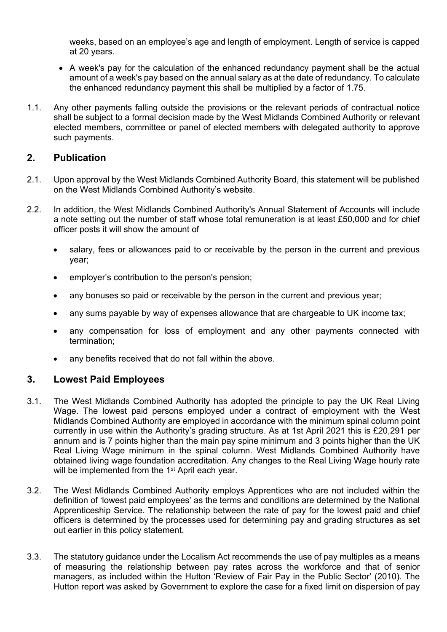weeks, based on an employee's age and length of employment. Length of service is capped at 20 years.

- A week's pay for the calculation of the enhanced redundancy payment shall be the actual amount of a week's pay based on the annual salary as at the date of redundancy. To calculate the enhanced redundancy payment this shall be multiplied by a factor of 1.75.
- 1.1. Any other payments falling outside the provisions or the relevant periods of contractual notice shall be subject to a formal decision made by the West Midlands Combined Authority or relevant elected members, committee or panel of elected members with delegated authority to approve such payments.

### **2. Publication**

- 2.1. Upon approval by the West Midlands Combined Authority Board, this statement will be published on the West Midlands Combined Authority's website.
- 2.2. In addition, the West Midlands Combined Authority's Annual Statement of Accounts will include a note setting out the number of staff whose total remuneration is at least £50,000 and for chief officer posts it will show the amount of
	- salary, fees or allowances paid to or receivable by the person in the current and previous year;
	- employer's contribution to the person's pension;
	- any bonuses so paid or receivable by the person in the current and previous year;
	- any sums payable by way of expenses allowance that are chargeable to UK income tax;
	- any compensation for loss of employment and any other payments connected with termination;
	- any benefits received that do not fall within the above.

### **3. Lowest Paid Employees**

- 3.1. The West Midlands Combined Authority has adopted the principle to pay the UK Real Living Wage. The lowest paid persons employed under a contract of employment with the West Midlands Combined Authority are employed in accordance with the minimum spinal column point currently in use within the Authority's grading structure. As at 1st April 2021 this is £20,291 per annum and is 7 points higher than the main pay spine minimum and 3 points higher than the UK Real Living Wage minimum in the spinal column. West Midlands Combined Authority have obtained living wage foundation accreditation. Any changes to the Real Living Wage hourly rate will be implemented from the 1<sup>st</sup> April each year.
- 3.2. The West Midlands Combined Authority employs Apprentices who are not included within the definition of 'lowest paid employees' as the terms and conditions are determined by the National Apprenticeship Service. The relationship between the rate of pay for the lowest paid and chief officers is determined by the processes used for determining pay and grading structures as set out earlier in this policy statement.
- 3.3. The statutory guidance under the Localism Act recommends the use of pay multiples as a means of measuring the relationship between pay rates across the workforce and that of senior managers, as included within the Hutton 'Review of Fair Pay in the Public Sector' (2010). The Hutton report was asked by Government to explore the case for a fixed limit on dispersion of pay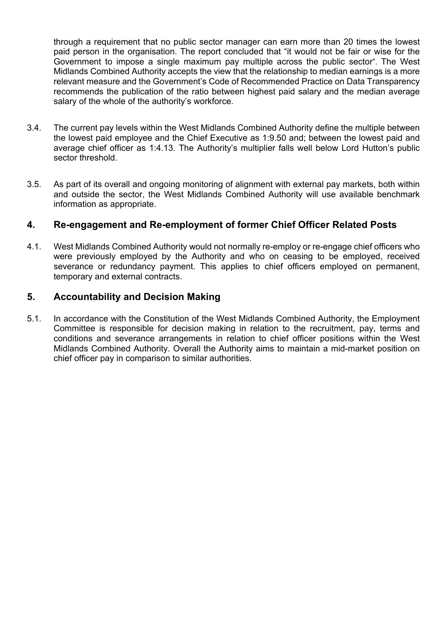through a requirement that no public sector manager can earn more than 20 times the lowest paid person in the organisation. The report concluded that "it would not be fair or wise for the Government to impose a single maximum pay multiple across the public sector". The West Midlands Combined Authority accepts the view that the relationship to median earnings is a more relevant measure and the Government's Code of Recommended Practice on Data Transparency recommends the publication of the ratio between highest paid salary and the median average salary of the whole of the authority's workforce.

- 3.4. The current pay levels within the West Midlands Combined Authority define the multiple between the lowest paid employee and the Chief Executive as 1:9.50 and; between the lowest paid and average chief officer as 1:4.13. The Authority's multiplier falls well below Lord Hutton's public sector threshold.
- 3.5. As part of its overall and ongoing monitoring of alignment with external pay markets, both within and outside the sector, the West Midlands Combined Authority will use available benchmark information as appropriate.

### **4. Re-engagement and Re-employment of former Chief Officer Related Posts**

4.1. West Midlands Combined Authority would not normally re-employ or re-engage chief officers who were previously employed by the Authority and who on ceasing to be employed, received severance or redundancy payment. This applies to chief officers employed on permanent, temporary and external contracts.

### **5. Accountability and Decision Making**

5.1. In accordance with the Constitution of the West Midlands Combined Authority, the Employment Committee is responsible for decision making in relation to the recruitment, pay, terms and conditions and severance arrangements in relation to chief officer positions within the West Midlands Combined Authority. Overall the Authority aims to maintain a mid-market position on chief officer pay in comparison to similar authorities.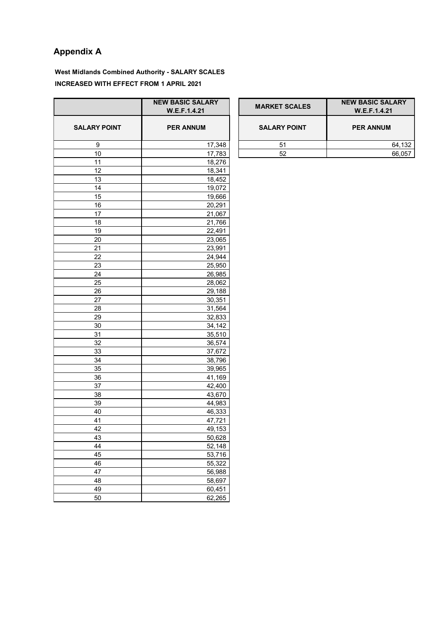## **Appendix A**

**West Midlands Combined Authority - SALARY SCALES INCREASED WITH EFFECT FROM 1 APRIL 2021**

|                     | <b>NEW BASIC SALARY</b> |
|---------------------|-------------------------|
|                     | W.E.F.1.4.21            |
| <b>SALARY POINT</b> | <b>PER ANNUM</b>        |
| 9                   | 17,348                  |
| 10                  | 17,783                  |
| 11                  | 18,276                  |
| 12                  | 18,341                  |
| 13                  | 18,452                  |
| 14                  | 19,072                  |
| 15                  | 19,666                  |
| 16                  | 20,291                  |
| 17                  | 21,067                  |
| 18                  | 21,766                  |
| 19                  | 22,491                  |
| 20                  | 23,065                  |
| 21                  | 23,991                  |
| 22                  | 24,944                  |
| 23                  | 25,950                  |
| 24                  | 26,985                  |
| 25                  | 28,062                  |
| 26                  | 29,188                  |
| 27                  | 30,351                  |
| 28                  | 31,564                  |
| 29                  | 32,833                  |
| 30                  | 34,142                  |
| 31                  | 35,510                  |
| 32                  | 36,574                  |
| 33                  | 37,672                  |
| 34                  | 38,796                  |
| 35                  | 39,965                  |
| 36                  | 41,169                  |
| 37                  | 42,400                  |
| 38                  | 43,670                  |
| 39                  | 44,983                  |
| 40                  | 46,333                  |
| 41                  | 47,721                  |
| 42                  | 49,153                  |
| 43                  | 50,628                  |
| 44                  | 52,148                  |
| 45                  | 53,716                  |
| 46                  | 55,322                  |
| 47                  | 56,988                  |
| 48                  | 58,697                  |
| 49                  | 60,451                  |
| 50                  | 62,265                  |

|                 | <b>NEW BASIC SALARY</b><br>W.E.F.1.4.21 | <b>MARKET SCALES</b> | <b>NEW BASIC SALARY</b><br>W.E.F.1.4.21 |
|-----------------|-----------------------------------------|----------------------|-----------------------------------------|
| <b>XY POINT</b> | <b>PER ANNUM</b>                        | <b>SALARY POINT</b>  | <b>PER ANNUM</b>                        |
| 9               | 17.348                                  | 51                   | 64,132                                  |
| 10              | 7.783                                   | 52                   | 66.057                                  |